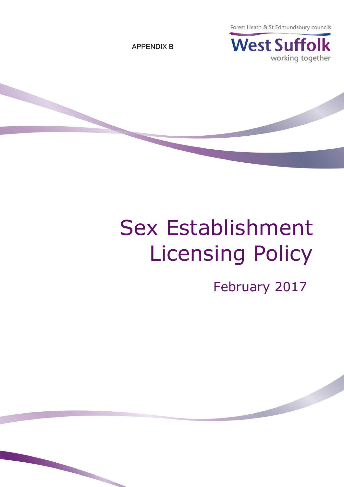Forest Heath & St Edmundsbury councils

**West Suffolk** working together

# APPENDIX B

# Sex Establishment Licensing Policy

February 2017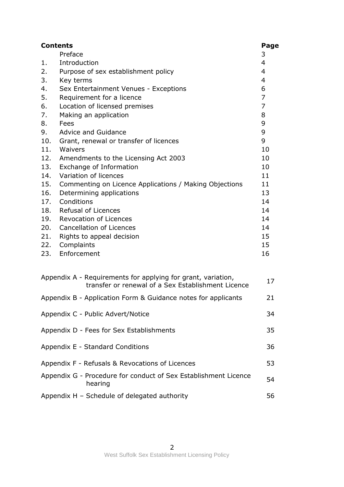| <b>Contents</b>                                                            |                                                                                                                    | Page           |  |  |  |
|----------------------------------------------------------------------------|--------------------------------------------------------------------------------------------------------------------|----------------|--|--|--|
|                                                                            | Preface                                                                                                            | 3              |  |  |  |
| 1.                                                                         | Introduction                                                                                                       | $\overline{4}$ |  |  |  |
| 2.                                                                         | Purpose of sex establishment policy                                                                                | 4              |  |  |  |
| 3.                                                                         | Key terms                                                                                                          | 4              |  |  |  |
| 4.                                                                         | Sex Entertainment Venues - Exceptions                                                                              | 6              |  |  |  |
| 5.                                                                         | Requirement for a licence                                                                                          | $\overline{7}$ |  |  |  |
| 6.                                                                         | Location of licensed premises                                                                                      | $\overline{7}$ |  |  |  |
| 7.                                                                         | Making an application                                                                                              | 8              |  |  |  |
| 8.                                                                         | Fees                                                                                                               | 9              |  |  |  |
| 9.                                                                         | <b>Advice and Guidance</b>                                                                                         | 9              |  |  |  |
| 10.                                                                        | Grant, renewal or transfer of licences                                                                             | 9              |  |  |  |
| 11.                                                                        | Waivers                                                                                                            | 10             |  |  |  |
| 12.                                                                        | Amendments to the Licensing Act 2003                                                                               | 10             |  |  |  |
| 13.                                                                        | Exchange of Information                                                                                            | 10             |  |  |  |
| 14.                                                                        | Variation of licences                                                                                              | 11             |  |  |  |
| 15.                                                                        | Commenting on Licence Applications / Making Objections                                                             | 11             |  |  |  |
| 16.                                                                        | Determining applications                                                                                           | 13             |  |  |  |
| 17.                                                                        | Conditions                                                                                                         | 14             |  |  |  |
| 18.                                                                        | <b>Refusal of Licences</b>                                                                                         | 14             |  |  |  |
| 19.                                                                        | <b>Revocation of Licences</b>                                                                                      | 14             |  |  |  |
| 20.                                                                        | <b>Cancellation of Licences</b>                                                                                    | 14             |  |  |  |
| 21.                                                                        | Rights to appeal decision                                                                                          | 15             |  |  |  |
| 22.                                                                        | Complaints                                                                                                         | 15             |  |  |  |
| 23.                                                                        | Enforcement                                                                                                        | 16             |  |  |  |
|                                                                            | Appendix A - Requirements for applying for grant, variation,<br>transfer or renewal of a Sex Establishment Licence | 17             |  |  |  |
|                                                                            | Appendix B - Application Form & Guidance notes for applicants                                                      | 21             |  |  |  |
|                                                                            | Appendix C - Public Advert/Notice                                                                                  | 34             |  |  |  |
|                                                                            | Appendix D - Fees for Sex Establishments                                                                           | 35             |  |  |  |
|                                                                            | Appendix E - Standard Conditions                                                                                   | 36             |  |  |  |
| Appendix F - Refusals & Revocations of Licences                            |                                                                                                                    |                |  |  |  |
| Appendix G - Procedure for conduct of Sex Establishment Licence<br>hearing |                                                                                                                    |                |  |  |  |
| Appendix H - Schedule of delegated authority                               |                                                                                                                    |                |  |  |  |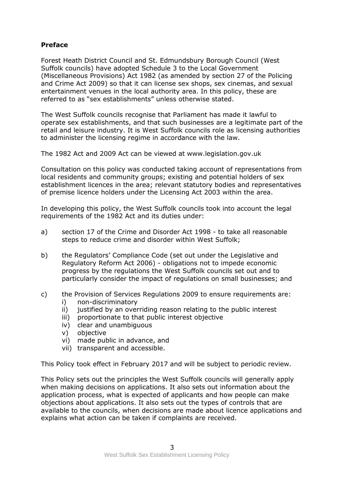# **Preface**

Forest Heath District Council and St. Edmundsbury Borough Council (West Suffolk councils) have adopted Schedule 3 to the Local Government (Miscellaneous Provisions) Act 1982 (as amended by section 27 of the Policing and Crime Act 2009) so that it can license sex shops, sex cinemas, and sexual entertainment venues in the local authority area. In this policy, these are referred to as "sex establishments" unless otherwise stated.

The West Suffolk councils recognise that Parliament has made it lawful to operate sex establishments, and that such businesses are a legitimate part of the retail and leisure industry. It is West Suffolk councils role as licensing authorities to administer the licensing regime in accordance with the law.

The 1982 Act and 2009 Act can be viewed at www.legislation.gov.uk

Consultation on this policy was conducted taking account of representations from local residents and community groups; existing and potential holders of sex establishment licences in the area; relevant statutory bodies and representatives of premise licence holders under the Licensing Act 2003 within the area.

In developing this policy, the West Suffolk councils took into account the legal requirements of the 1982 Act and its duties under:

- a) section 17 of the Crime and Disorder Act 1998 to take all reasonable steps to reduce crime and disorder within West Suffolk;
- b) the Regulators' Compliance Code (set out under the Legislative and Regulatory Reform Act 2006) - obligations not to impede economic progress by the regulations the West Suffolk councils set out and to particularly consider the impact of regulations on small businesses; and
- c) the Provision of Services Regulations 2009 to ensure requirements are:
	- i) non-discriminatory
	- ii) justified by an overriding reason relating to the public interest
	- iii) proportionate to that public interest objective
	- iv) clear and unambiguous
	- v) objective
	- vi) made public in advance, and
	- vii) transparent and accessible.

This Policy took effect in February 2017 and will be subject to periodic review.

This Policy sets out the principles the West Suffolk councils will generally apply when making decisions on applications. It also sets out information about the application process, what is expected of applicants and how people can make objections about applications. It also sets out the types of controls that are available to the councils, when decisions are made about licence applications and explains what action can be taken if complaints are received.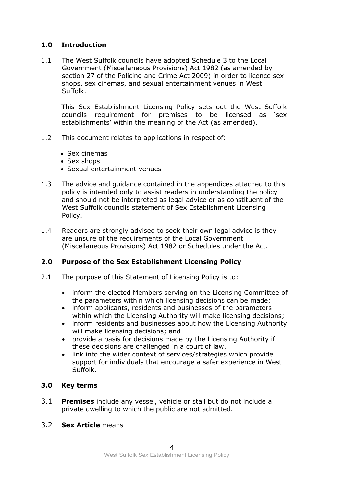# **1.0 Introduction**

1.1 The West Suffolk councils have adopted Schedule 3 to the Local Government (Miscellaneous Provisions) Act 1982 (as amended by section 27 of the Policing and Crime Act 2009) in order to licence sex shops, sex cinemas, and sexual entertainment venues in West Suffolk.

This Sex Establishment Licensing Policy sets out the West Suffolk councils requirement for premises to be licensed as 'sex establishments' within the meaning of the Act (as amended).

- 1.2 This document relates to applications in respect of:
	- Sex cinemas
	- Sex shops
	- Sexual entertainment venues
- 1.3 The advice and guidance contained in the appendices attached to this policy is intended only to assist readers in understanding the policy and should not be interpreted as legal advice or as constituent of the West Suffolk councils statement of Sex Establishment Licensing Policy.
- 1.4 Readers are strongly advised to seek their own legal advice is they are unsure of the requirements of the Local Government (Miscellaneous Provisions) Act 1982 or Schedules under the Act.

#### **2.0 Purpose of the Sex Establishment Licensing Policy**

- 2.1 The purpose of this Statement of Licensing Policy is to:
	- inform the elected Members serving on the Licensing Committee of the parameters within which licensing decisions can be made;
	- inform applicants, residents and businesses of the parameters within which the Licensing Authority will make licensing decisions;
	- inform residents and businesses about how the Licensing Authority will make licensing decisions; and
	- provide a basis for decisions made by the Licensing Authority if these decisions are challenged in a court of law.
	- link into the wider context of services/strategies which provide support for individuals that encourage a safer experience in West Suffolk.

#### **3.0 Key terms**

- 3.1 **Premises** include any vessel, vehicle or stall but do not include a private dwelling to which the public are not admitted.
- 3.2 **Sex Article** means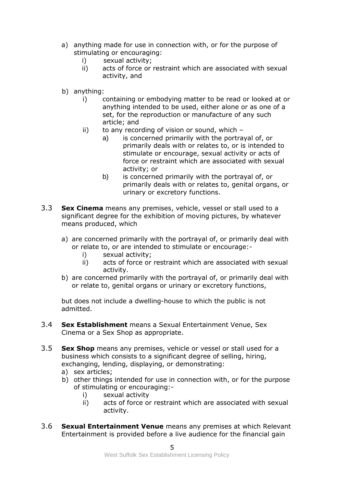- a) anything made for use in connection with, or for the purpose of stimulating or encouraging:
	- i) sexual activity;
	- ii) acts of force or restraint which are associated with sexual activity, and
- b) anything:
	- i) containing or embodying matter to be read or looked at or anything intended to be used, either alone or as one of a set, for the reproduction or manufacture of any such article; and
	- ii) to any recording of vision or sound, which
		- a) is concerned primarily with the portrayal of, or primarily deals with or relates to, or is intended to stimulate or encourage, sexual activity or acts of force or restraint which are associated with sexual activity; or
		- b) is concerned primarily with the portrayal of, or primarily deals with or relates to, genital organs, or urinary or excretory functions.
- 3.3 **Sex Cinema** means any premises, vehicle, vessel or stall used to a significant degree for the exhibition of moving pictures, by whatever means produced, which
	- a) are concerned primarily with the portrayal of, or primarily deal with or relate to, or are intended to stimulate or encourage:
		- i) sexual activity;
		- ii) acts of force or restraint which are associated with sexual activity.
	- b) are concerned primarily with the portrayal of, or primarily deal with or relate to, genital organs or urinary or excretory functions,

but does not include a dwelling-house to which the public is not admitted.

- 3.4 **Sex Establishment** means a Sexual Entertainment Venue, Sex Cinema or a Sex Shop as appropriate.
- 3.5 **Sex Shop** means any premises, vehicle or vessel or stall used for a business which consists to a significant degree of selling, hiring, exchanging, lending, displaying, or demonstrating:
	- a) sex articles;
	- b) other things intended for use in connection with, or for the purpose of stimulating or encouraging:
		- i) sexual activity
		- ii) acts of force or restraint which are associated with sexual activity.
- 3.6 **Sexual Entertainment Venue** means any premises at which Relevant Entertainment is provided before a live audience for the financial gain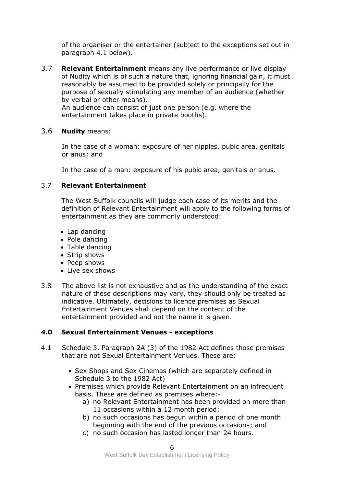of the organiser or the entertainer (subject to the exceptions set out in paragraph 4.1 below).

3.7 **Relevant Entertainment** means any live performance or live display of Nudity which is of such a nature that, ignoring financial gain, it must reasonably be assumed to be provided solely or principally for the purpose of sexually stimulating any member of an audience (whether by verbal or other means). An audience can consist of just one person (e.g. where the

entertainment takes place in private booths).

#### 3.6 **Nudity** means:

In the case of a woman: exposure of her nipples, pubic area, genitals or anus; and

In the case of a man: exposure of his pubic area, genitals or anus.

#### 3.7 **Relevant Entertainment**

The West Suffolk councils will judge each case of its merits and the definition of Relevant Entertainment will apply to the following forms of entertainment as they are commonly understood:

- Lap dancing
- Pole dancing
- Table dancing
- Strip shows
- Peep shows
- Live sex shows
- 3.8 The above list is not exhaustive and as the understanding of the exact nature of these descriptions may vary, they should only be treated as indicative. Ultimately, decisions to licence premises as Sexual Entertainment Venues shall depend on the content of the entertainment provided and not the name it is given.

#### **4.0 Sexual Entertainment Venues - exceptions**

- 4.1 Schedule 3, Paragraph 2A (3) of the 1982 Act defines those premises that are not Sexual Entertainment Venues. These are:
	- Sex Shops and Sex Cinemas (which are separately defined in Schedule 3 to the 1982 Act)
	- Premises which provide Relevant Entertainment on an infrequent basis. These are defined as premises where:
		- a) no Relevant Entertainment has been provided on more than 11 occasions within a 12 month period;
		- b) no such occasions has begun within a period of one month beginning with the end of the previous occasions; and
		- c) no such occasion has lasted longer than 24 hours.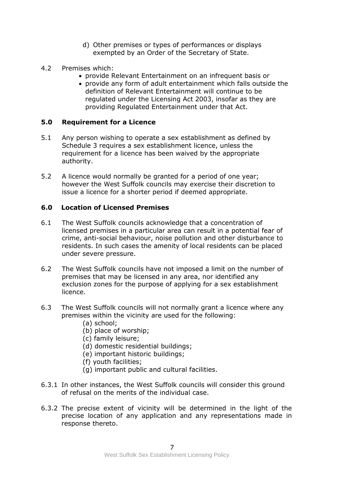- d) Other premises or types of performances or displays exempted by an Order of the Secretary of State.
- 4.2 Premises which:
	- provide Relevant Entertainment on an infrequent basis or
	- provide any form of adult entertainment which falls outside the definition of Relevant Entertainment will continue to be regulated under the Licensing Act 2003, insofar as they are providing Regulated Entertainment under that Act.

#### **5.0 Requirement for a Licence**

- 5.1 Any person wishing to operate a sex establishment as defined by Schedule 3 requires a sex establishment licence, unless the requirement for a licence has been waived by the appropriate authority.
- 5.2 A licence would normally be granted for a period of one year; however the West Suffolk councils may exercise their discretion to issue a licence for a shorter period if deemed appropriate.

## **6.0 Location of Licensed Premises**

- 6.1 The West Suffolk councils acknowledge that a concentration of licensed premises in a particular area can result in a potential fear of crime, anti-social behaviour, noise pollution and other disturbance to residents. In such cases the amenity of local residents can be placed under severe pressure.
- 6.2 The West Suffolk councils have not imposed a limit on the number of premises that may be licensed in any area, nor identified any exclusion zones for the purpose of applying for a sex establishment licence.
- 6.3 The West Suffolk councils will not normally grant a licence where any premises within the vicinity are used for the following:
	- (a) school;
	- (b) place of worship;
	- (c) family leisure;
	- (d) domestic residential buildings;
	- (e) important historic buildings;
	- (f) youth facilities;
	- (g) important public and cultural facilities.
- 6.3.1 In other instances, the West Suffolk councils will consider this ground of refusal on the merits of the individual case.
- 6.3.2 The precise extent of vicinity will be determined in the light of the precise location of any application and any representations made in response thereto.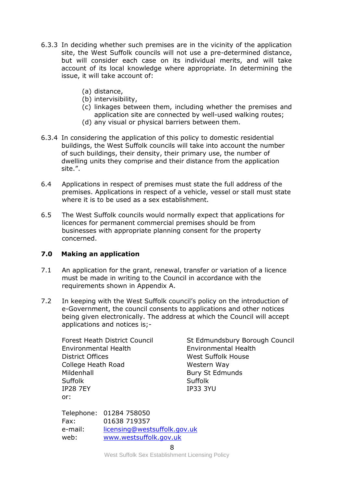- 6.3.3 In deciding whether such premises are in the vicinity of the application site, the West Suffolk councils will not use a pre-determined distance, but will consider each case on its individual merits, and will take account of its local knowledge where appropriate. In determining the issue, it will take account of:
	- (a) distance,
	- (b) intervisibility,
	- (c) linkages between them, including whether the premises and application site are connected by well-used walking routes;
	- (d) any visual or physical barriers between them.
- 6.3.4 In considering the application of this policy to domestic residential buildings, the West Suffolk councils will take into account the number of such buildings, their density, their primary use, the number of dwelling units they comprise and their distance from the application site.".
- 6.4 Applications in respect of premises must state the full address of the premises. Applications in respect of a vehicle, vessel or stall must state where it is to be used as a sex establishment.
- 6.5 The West Suffolk councils would normally expect that applications for licences for permanent commercial premises should be from businesses with appropriate planning consent for the property concerned.

#### **7.0 Making an application**

- 7.1 An application for the grant, renewal, transfer or variation of a licence must be made in writing to the Council in accordance with the requirements shown in Appendix A.
- 7.2 In keeping with the West Suffolk council's policy on the introduction of e-Government, the council consents to applications and other notices being given electronically. The address at which the Council will accept applications and notices is;-

Environmental Health Environmental Health District Offices Mest Suffolk House College Heath Road Western Way Mildenhall **Bury St Edmunds** Suffolk Suffolk IP28 7EY IP33 3YU or:

Forest Heath District Council St Edmundsbury Borough Council

Telephone: 01284 758050 Fax: 01638 719357 e-mail: [licensing@westsuffolk.gov.uk](mailto:licensing@westsuffolk.gov.uk) web: [www.westsuffolk.gov.uk](http://www.westsuffolk.gov.uk/)

8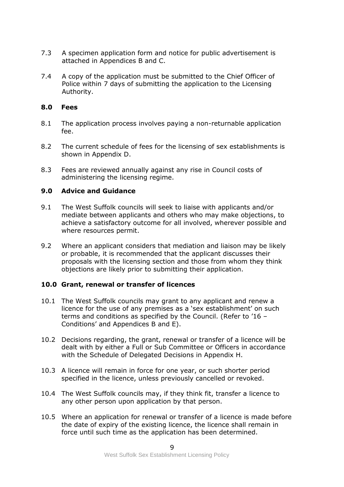- 7.3 A specimen application form and notice for public advertisement is attached in Appendices B and C.
- 7.4 A copy of the application must be submitted to the Chief Officer of Police within 7 days of submitting the application to the Licensing Authority.

#### **8.0 Fees**

- 8.1 The application process involves paying a non-returnable application fee.
- 8.2 The current schedule of fees for the licensing of sex establishments is shown in Appendix D.
- 8.3 Fees are reviewed annually against any rise in Council costs of administering the licensing regime.

#### **9.0 Advice and Guidance**

- 9.1 The West Suffolk councils will seek to liaise with applicants and/or mediate between applicants and others who may make objections, to achieve a satisfactory outcome for all involved, wherever possible and where resources permit.
- 9.2 Where an applicant considers that mediation and liaison may be likely or probable, it is recommended that the applicant discusses their proposals with the licensing section and those from whom they think objections are likely prior to submitting their application.

#### **10.0 Grant, renewal or transfer of licences**

- 10.1 The West Suffolk councils may grant to any applicant and renew a licence for the use of any premises as a 'sex establishment' on such terms and conditions as specified by the Council. (Refer to '16 – Conditions' and Appendices B and E).
- 10.2 Decisions regarding, the grant, renewal or transfer of a licence will be dealt with by either a Full or Sub Committee or Officers in accordance with the Schedule of Delegated Decisions in Appendix H.
- 10.3 A licence will remain in force for one year, or such shorter period specified in the licence, unless previously cancelled or revoked.
- 10.4 The West Suffolk councils may, if they think fit, transfer a licence to any other person upon application by that person.
- 10.5 Where an application for renewal or transfer of a licence is made before the date of expiry of the existing licence, the licence shall remain in force until such time as the application has been determined.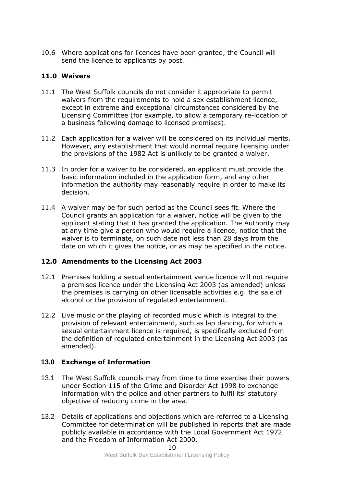10.6 Where applications for licences have been granted, the Council will send the licence to applicants by post.

# **11.0 Waivers**

- 11.1 The West Suffolk councils do not consider it appropriate to permit waivers from the requirements to hold a sex establishment licence, except in extreme and exceptional circumstances considered by the Licensing Committee (for example, to allow a temporary re-location of a business following damage to licensed premises).
- 11.2 Each application for a waiver will be considered on its individual merits. However, any establishment that would normal require licensing under the provisions of the 1982 Act is unlikely to be granted a waiver.
- 11.3 In order for a waiver to be considered, an applicant must provide the basic information included in the application form, and any other information the authority may reasonably require in order to make its decision.
- 11.4 A waiver may be for such period as the Council sees fit. Where the Council grants an application for a waiver, notice will be given to the applicant stating that it has granted the application. The Authority may at any time give a person who would require a licence, notice that the waiver is to terminate, on such date not less than 28 days from the date on which it gives the notice, or as may be specified in the notice.

#### **12.0 Amendments to the Licensing Act 2003**

- 12.1 Premises holding a sexual entertainment venue licence will not require a premises licence under the Licensing Act 2003 (as amended) unless the premises is carrying on other licensable activities e.g. the sale of alcohol or the provision of regulated entertainment.
- 12.2 Live music or the playing of recorded music which is integral to the provision of relevant entertainment, such as lap dancing, for which a sexual entertainment licence is required, is specifically excluded from the definition of regulated entertainment in the Licensing Act 2003 (as amended).

#### **13.0 Exchange of Information**

- 13.1 The West Suffolk councils may from time to time exercise their powers under Section 115 of the Crime and Disorder Act 1998 to exchange information with the police and other partners to fulfil its' statutory objective of reducing crime in the area.
- 13.2 Details of applications and objections which are referred to a Licensing Committee for determination will be published in reports that are made publicly available in accordance with the Local Government Act 1972 and the Freedom of Information Act 2000.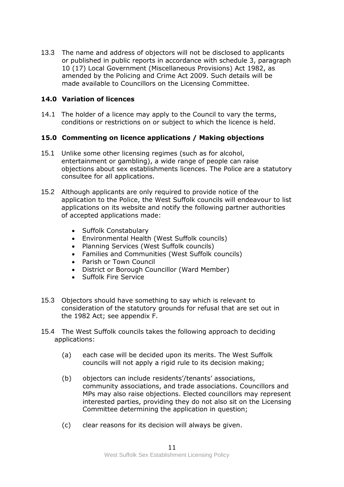13.3 The name and address of objectors will not be disclosed to applicants or published in public reports in accordance with schedule 3, paragraph 10 (17) Local Government (Miscellaneous Provisions) Act 1982, as amended by the Policing and Crime Act 2009. Such details will be made available to Councillors on the Licensing Committee.

## **14.0 Variation of licences**

14.1 The holder of a licence may apply to the Council to vary the terms, conditions or restrictions on or subject to which the licence is held.

# **15.0 Commenting on licence applications / Making objections**

- 15.1 Unlike some other licensing regimes (such as for alcohol, entertainment or gambling), a wide range of people can raise objections about sex establishments licences. The Police are a statutory consultee for all applications.
- 15.2 Although applicants are only required to provide notice of the application to the Police, the West Suffolk councils will endeavour to list applications on its website and notify the following partner authorities of accepted applications made:
	- Suffolk Constabulary
	- Environmental Health (West Suffolk councils)
	- Planning Services (West Suffolk councils)
	- Families and Communities (West Suffolk councils)
	- Parish or Town Council
	- District or Borough Councillor (Ward Member)
	- Suffolk Fire Service
- 15.3 Objectors should have something to say which is relevant to consideration of the statutory grounds for refusal that are set out in the 1982 Act; see appendix F.
- 15.4 The West Suffolk councils takes the following approach to deciding applications:
	- (a) each case will be decided upon its merits. The West Suffolk councils will not apply a rigid rule to its decision making;
	- (b) objectors can include residents'/tenants' associations, community associations, and trade associations. Councillors and MPs may also raise objections. Elected councillors may represent interested parties, providing they do not also sit on the Licensing Committee determining the application in question;
	- (c) clear reasons for its decision will always be given.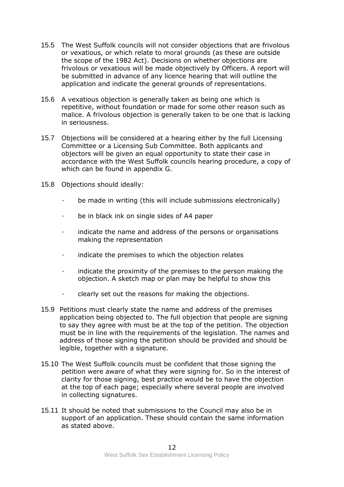- 15.5 The West Suffolk councils will not consider objections that are frivolous or vexatious, or which relate to moral grounds (as these are outside the scope of the 1982 Act). Decisions on whether objections are frivolous or vexatious will be made objectively by Officers. A report will be submitted in advance of any licence hearing that will outline the application and indicate the general grounds of representations.
- 15.6 A vexatious objection is generally taken as being one which is repetitive, without foundation or made for some other reason such as malice. A frivolous objection is generally taken to be one that is lacking in seriousness.
- 15.7 Objections will be considered at a hearing either by the full Licensing Committee or a Licensing Sub Committee. Both applicants and objectors will be given an equal opportunity to state their case in accordance with the West Suffolk councils hearing procedure, a copy of which can be found in appendix G.
- 15.8 Objections should ideally:
	- · be made in writing (this will include submissions electronically)
	- · be in black ink on single sides of A4 paper
	- · indicate the name and address of the persons or organisations making the representation
	- · indicate the premises to which the objection relates
	- · indicate the proximity of the premises to the person making the objection. A sketch map or plan may be helpful to show this
	- · clearly set out the reasons for making the objections.
- 15.9 Petitions must clearly state the name and address of the premises application being objected to. The full objection that people are signing to say they agree with must be at the top of the petition. The objection must be in line with the requirements of the legislation. The names and address of those signing the petition should be provided and should be legible, together with a signature.
- 15.10 The West Suffolk councils must be confident that those signing the petition were aware of what they were signing for. So in the interest of clarity for those signing, best practice would be to have the objection at the top of each page; especially where several people are involved in collecting signatures.
- 15.11 It should be noted that submissions to the Council may also be in support of an application. These should contain the same information as stated above.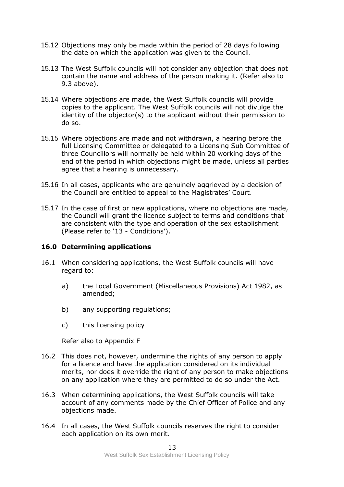- 15.12 Objections may only be made within the period of 28 days following the date on which the application was given to the Council.
- 15.13 The West Suffolk councils will not consider any objection that does not contain the name and address of the person making it. (Refer also to 9.3 above).
- 15.14 Where objections are made, the West Suffolk councils will provide copies to the applicant. The West Suffolk councils will not divulge the identity of the objector(s) to the applicant without their permission to do so.
- 15.15 Where objections are made and not withdrawn, a hearing before the full Licensing Committee or delegated to a Licensing Sub Committee of three Councillors will normally be held within 20 working days of the end of the period in which objections might be made, unless all parties agree that a hearing is unnecessary.
- 15.16 In all cases, applicants who are genuinely aggrieved by a decision of the Council are entitled to appeal to the Magistrates' Court.
- 15.17 In the case of first or new applications, where no objections are made, the Council will grant the licence subject to terms and conditions that are consistent with the type and operation of the sex establishment (Please refer to '13 - Conditions').

#### **16.0 Determining applications**

- 16.1 When considering applications, the West Suffolk councils will have regard to:
	- a) the Local Government (Miscellaneous Provisions) Act 1982, as amended;
	- b) any supporting regulations;
	- c) this licensing policy

Refer also to Appendix F

- 16.2 This does not, however, undermine the rights of any person to apply for a licence and have the application considered on its individual merits, nor does it override the right of any person to make objections on any application where they are permitted to do so under the Act.
- 16.3 When determining applications, the West Suffolk councils will take account of any comments made by the Chief Officer of Police and any objections made.
- 16.4 In all cases, the West Suffolk councils reserves the right to consider each application on its own merit.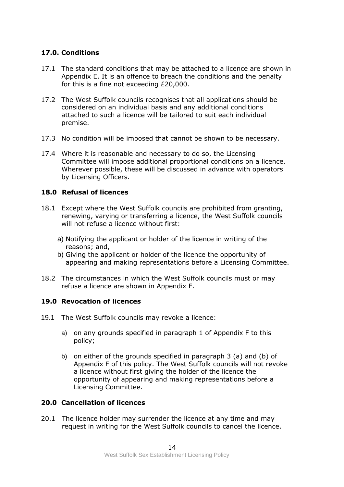# **17.0. Conditions**

- 17.1 The standard conditions that may be attached to a licence are shown in Appendix E. It is an offence to breach the conditions and the penalty for this is a fine not exceeding £20,000.
- 17.2 The West Suffolk councils recognises that all applications should be considered on an individual basis and any additional conditions attached to such a licence will be tailored to suit each individual premise.
- 17.3 No condition will be imposed that cannot be shown to be necessary.
- 17.4 Where it is reasonable and necessary to do so, the Licensing Committee will impose additional proportional conditions on a licence. Wherever possible, these will be discussed in advance with operators by Licensing Officers.

#### **18.0 Refusal of licences**

- 18.1 Except where the West Suffolk councils are prohibited from granting, renewing, varying or transferring a licence, the West Suffolk councils will not refuse a licence without first:
	- a) Notifying the applicant or holder of the licence in writing of the reasons; and,
	- b) Giving the applicant or holder of the licence the opportunity of appearing and making representations before a Licensing Committee.
- 18.2 The circumstances in which the West Suffolk councils must or may refuse a licence are shown in Appendix F.

#### **19.0 Revocation of licences**

- 19.1 The West Suffolk councils may revoke a licence:
	- a) on any grounds specified in paragraph 1 of Appendix F to this policy;
	- b) on either of the grounds specified in paragraph 3 (a) and (b) of Appendix F of this policy. The West Suffolk councils will not revoke a licence without first giving the holder of the licence the opportunity of appearing and making representations before a Licensing Committee.

#### **20.0 Cancellation of licences**

20.1 The licence holder may surrender the licence at any time and may request in writing for the West Suffolk councils to cancel the licence.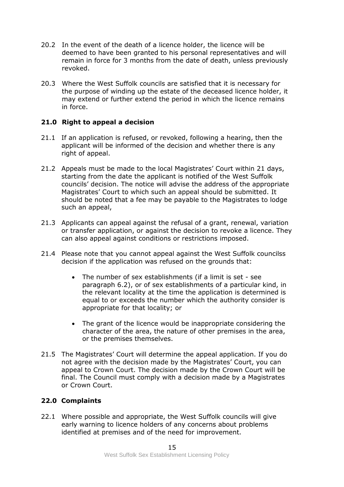- 20.2 In the event of the death of a licence holder, the licence will be deemed to have been granted to his personal representatives and will remain in force for 3 months from the date of death, unless previously revoked.
- 20.3 Where the West Suffolk councils are satisfied that it is necessary for the purpose of winding up the estate of the deceased licence holder, it may extend or further extend the period in which the licence remains in force.

#### **21.0 Right to appeal a decision**

- 21.1 If an application is refused, or revoked, following a hearing, then the applicant will be informed of the decision and whether there is any right of appeal.
- 21.2 Appeals must be made to the local Magistrates' Court within 21 days, starting from the date the applicant is notified of the West Suffolk councils' decision. The notice will advise the address of the appropriate Magistrates' Court to which such an appeal should be submitted. It should be noted that a fee may be payable to the Magistrates to lodge such an appeal,
- 21.3 Applicants can appeal against the refusal of a grant, renewal, variation or transfer application, or against the decision to revoke a licence. They can also appeal against conditions or restrictions imposed.
- 21.4 Please note that you cannot appeal against the West Suffolk councilss decision if the application was refused on the grounds that:
	- The number of sex establishments (if a limit is set see paragraph 6.2), or of sex establishments of a particular kind, in the relevant locality at the time the application is determined is equal to or exceeds the number which the authority consider is appropriate for that locality; or
	- The grant of the licence would be inappropriate considering the character of the area, the nature of other premises in the area, or the premises themselves.
- 21.5 The Magistrates' Court will determine the appeal application. If you do not agree with the decision made by the Magistrates' Court, you can appeal to Crown Court. The decision made by the Crown Court will be final. The Council must comply with a decision made by a Magistrates or Crown Court.

#### **22.0 Complaints**

22.1 Where possible and appropriate, the West Suffolk councils will give early warning to licence holders of any concerns about problems identified at premises and of the need for improvement.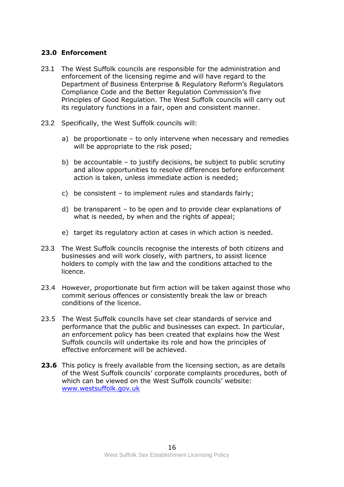# **23.0 Enforcement**

- 23.1 The West Suffolk councils are responsible for the administration and enforcement of the licensing regime and will have regard to the Department of Business Enterprise & Regulatory Reform's Regulators Compliance Code and the Better Regulation Commission's five Principles of Good Regulation. The West Suffolk councils will carry out its regulatory functions in a fair, open and consistent manner.
- 23.2 Specifically, the West Suffolk councils will:
	- a) be proportionate to only intervene when necessary and remedies will be appropriate to the risk posed;
	- b) be accountable to justify decisions, be subject to public scrutiny and allow opportunities to resolve differences before enforcement action is taken, unless immediate action is needed;
	- c) be consistent to implement rules and standards fairly;
	- d) be transparent to be open and to provide clear explanations of what is needed, by when and the rights of appeal;
	- e) target its regulatory action at cases in which action is needed.
- 23.3 The West Suffolk councils recognise the interests of both citizens and businesses and will work closely, with partners, to assist licence holders to comply with the law and the conditions attached to the licence.
- 23.4 However, proportionate but firm action will be taken against those who commit serious offences or consistently break the law or breach conditions of the licence.
- 23.5 The West Suffolk councils have set clear standards of service and performance that the public and businesses can expect. In particular, an enforcement policy has been created that explains how the West Suffolk councils will undertake its role and how the principles of effective enforcement will be achieved.
- **23.6** This policy is freely available from the licensing section, as are details of the West Suffolk councils' corporate complaints procedures, both of which can be viewed on the West Suffolk councils' website: www.westsuffolk.gov.uk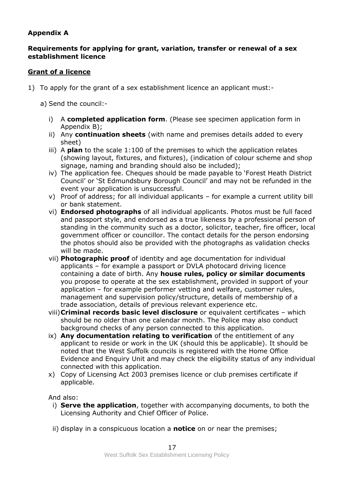# **Appendix A**

# **Requirements for applying for grant, variation, transfer or renewal of a sex establishment licence**

# **Grant of a licence**

- 1) To apply for the grant of a sex establishment licence an applicant must:
	- a) Send the council:
		- i) A **completed application form**. (Please see specimen application form in Appendix B);
		- ii) Any **continuation sheets** (with name and premises details added to every sheet)
		- iii) A **plan** to the scale 1:100 of the premises to which the application relates (showing layout, fixtures, and fixtures), (indication of colour scheme and shop signage, naming and branding should also be included);
		- iv) The application fee. Cheques should be made payable to 'Forest Heath District Council' or 'St Edmundsbury Borough Council' and may not be refunded in the event your application is unsuccessful.
		- v) Proof of address; for all individual applicants for example a current utility bill or bank statement.
		- vi) **Endorsed photographs** of all individual applicants. Photos must be full faced and passport style, and endorsed as a true likeness by a professional person of standing in the community such as a doctor, solicitor, teacher, fire officer, local government officer or councillor. The contact details for the person endorsing the photos should also be provided with the photographs as validation checks will be made.
		- vii) **Photographic proof** of identity and age documentation for individual applicants – for example a passport or DVLA photocard driving licence containing a date of birth. Any **house rules, policy or similar documents**  you propose to operate at the sex establishment, provided in support of your application – for example performer vetting and welfare, customer rules, management and supervision policy/structure, details of membership of a trade association, details of previous relevant experience etc.
		- viii)**Criminal records basic level disclosure** or equivalent certificates which should be no older than one calendar month. The Police may also conduct background checks of any person connected to this application.
		- ix) **Any documentation relating to verification** of the entitlement of any applicant to reside or work in the UK (should this be applicable). It should be noted that the West Suffolk councils is registered with the Home Office Evidence and Enquiry Unit and may check the eligibility status of any individual connected with this application.
		- x) Copy of Licensing Act 2003 premises licence or club premises certificate if applicable.

And also:

- i) **Serve the application**, together with accompanying documents, to both the Licensing Authority and Chief Officer of Police.
- ii) display in a conspicuous location a **notice** on or near the premises;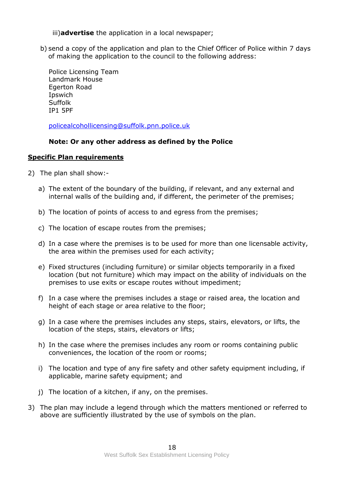iii)**advertise** the application in a local newspaper;

b) send a copy of the application and plan to the Chief Officer of Police within 7 days of making the application to the council to the following address:

Police Licensing Team Landmark House Egerton Road Ipswich **Suffolk** IP1 5PF

[policealcohollicensing@suffolk.pnn.police.uk](mailto:policealcohollicensing@suffolk.pnn.police.uk)

## **Note: Or any other address as defined by the Police**

#### **Specific Plan requirements**

- 2) The plan shall show:
	- a) The extent of the boundary of the building, if relevant, and any external and internal walls of the building and, if different, the perimeter of the premises;
	- b) The location of points of access to and egress from the premises;
	- c) The location of escape routes from the premises;
	- d) In a case where the premises is to be used for more than one licensable activity, the area within the premises used for each activity;
	- e) Fixed structures (including furniture) or similar objects temporarily in a fixed location (but not furniture) which may impact on the ability of individuals on the premises to use exits or escape routes without impediment;
	- f) In a case where the premises includes a stage or raised area, the location and height of each stage or area relative to the floor;
	- g) In a case where the premises includes any steps, stairs, elevators, or lifts, the location of the steps, stairs, elevators or lifts;
	- h) In the case where the premises includes any room or rooms containing public conveniences, the location of the room or rooms;
	- i) The location and type of any fire safety and other safety equipment including, if applicable, marine safety equipment; and
	- j) The location of a kitchen, if any, on the premises.
- 3) The plan may include a legend through which the matters mentioned or referred to above are sufficiently illustrated by the use of symbols on the plan.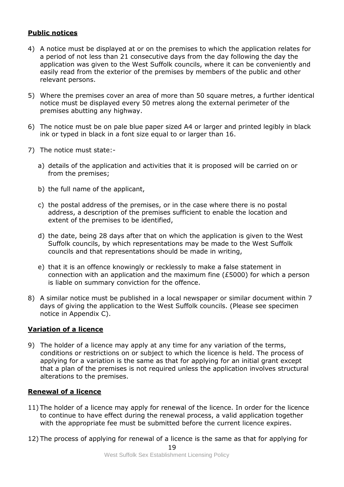#### **Public notices**

- 4) A notice must be displayed at or on the premises to which the application relates for a period of not less than 21 consecutive days from the day following the day the application was given to the West Suffolk councils, where it can be conveniently and easily read from the exterior of the premises by members of the public and other relevant persons.
- 5) Where the premises cover an area of more than 50 square metres, a further identical notice must be displayed every 50 metres along the external perimeter of the premises abutting any highway.
- 6) The notice must be on pale blue paper sized A4 or larger and printed legibly in black ink or typed in black in a font size equal to or larger than 16.
- 7) The notice must state:
	- a) details of the application and activities that it is proposed will be carried on or from the premises;
	- b) the full name of the applicant,
	- c) the postal address of the premises, or in the case where there is no postal address, a description of the premises sufficient to enable the location and extent of the premises to be identified,
	- d) the date, being 28 days after that on which the application is given to the West Suffolk councils, by which representations may be made to the West Suffolk councils and that representations should be made in writing,
	- e) that it is an offence knowingly or recklessly to make a false statement in connection with an application and the maximum fine (£5000) for which a person is liable on summary conviction for the offence.
- 8) A similar notice must be published in a local newspaper or similar document within 7 days of giving the application to the West Suffolk councils. (Please see specimen notice in Appendix C).

# **Variation of a licence**

9) The holder of a licence may apply at any time for any variation of the terms, conditions or restrictions on or subject to which the licence is held. The process of applying for a variation is the same as that for applying for an initial grant except that a plan of the premises is not required unless the application involves structural alterations to the premises.

#### **Renewal of a licence**

- 11) The holder of a licence may apply for renewal of the licence. In order for the licence to continue to have effect during the renewal process, a valid application together with the appropriate fee must be submitted before the current licence expires.
- 12) The process of applying for renewal of a licence is the same as that for applying for

19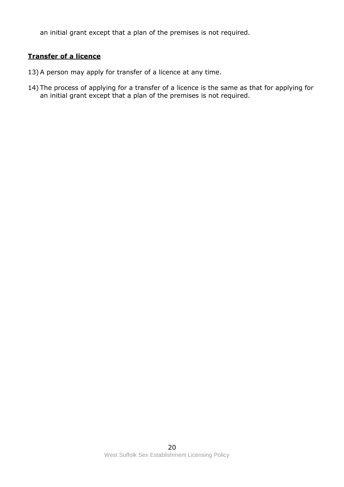an initial grant except that a plan of the premises is not required.

#### **Transfer of a licence**

- 13) A person may apply for transfer of a licence at any time.
- 14) The process of applying for a transfer of a licence is the same as that for applying for an initial grant except that a plan of the premises is not required.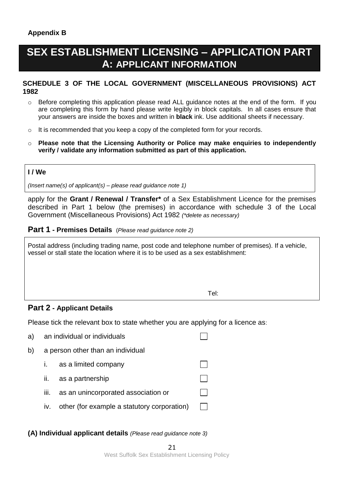# **SEX ESTABLISHMENT LICENSING – APPLICATION PART A: APPLICANT INFORMATION**

#### **SCHEDULE 3 OF THE LOCAL GOVERNMENT (MISCELLANEOUS PROVISIONS) ACT 1982**

- o Before completing this application please read ALL guidance notes at the end of the form. If you are completing this form by hand please write legibly in block capitals. In all cases ensure that your answers are inside the boxes and written in **black** ink. Use additional sheets if necessary.
- o It is recommended that you keep a copy of the completed form for your records.
- o **Please note that the Licensing Authority or Police may make enquiries to independently verify / validate any information submitted as part of this application.**

#### **I / We**

*(Insert name(s) of applicant(s) – please read guidance note 1)*

apply for the **Grant / Renewal / Transfer\*** of a Sex Establishment Licence for the premises described in Part 1 below (the premises) in accordance with schedule 3 of the Local Government (Miscellaneous Provisions) Act 1982 *(\*delete as necessary)*

#### **Part 1 - Premises Details** (*Please read guidance note 2)*

Postal address (including trading name, post code and telephone number of premises). If a vehicle, vessel or stall state the location where it is to be used as a sex establishment:

| Tel: |
|------|
|      |

# **Part 2 - Applicant Details**

Please tick the relevant box to state whether you are applying for a licence as:

- a) an individual or individuals
- b) a person other than an individual
	- i. as a limited company
	- ii. as a partnership
	- iii. as an unincorporated association or
	- iv. other (for example a statutory corporation)

**(A) Individual applicant details** *(Please read guidance note 3)*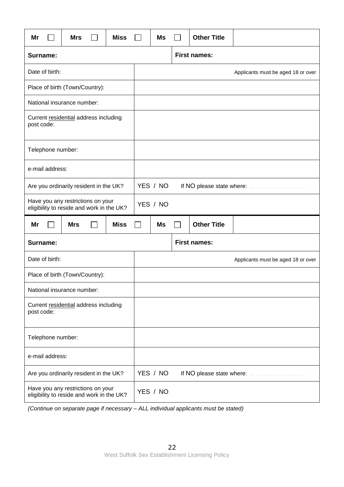| Mr                                                                             | <b>Mrs</b>                                                                     | <b>Miss</b> | <b>Ms</b>           | <b>Other Title</b>  |                                    |
|--------------------------------------------------------------------------------|--------------------------------------------------------------------------------|-------------|---------------------|---------------------|------------------------------------|
| Surname:                                                                       |                                                                                |             |                     | <b>First names:</b> |                                    |
| Date of birth:                                                                 |                                                                                |             |                     |                     | Applicants must be aged 18 or over |
|                                                                                | Place of birth (Town/Country):                                                 |             |                     |                     |                                    |
|                                                                                | National insurance number:                                                     |             |                     |                     |                                    |
| post code:                                                                     | Current residential address including                                          |             |                     |                     |                                    |
| Telephone number:                                                              |                                                                                |             |                     |                     |                                    |
| e-mail address:                                                                |                                                                                |             |                     |                     |                                    |
|                                                                                | Are you ordinarily resident in the UK?                                         |             | YES / NO            |                     |                                    |
|                                                                                | Have you any restrictions on your<br>eligibility to reside and work in the UK? |             | YES / NO            |                     |                                    |
| Mr                                                                             | <b>Mrs</b>                                                                     | <b>Miss</b> | Ms                  | <b>Other Title</b>  |                                    |
| Surname:                                                                       |                                                                                |             | <b>First names:</b> |                     |                                    |
| Date of birth:                                                                 |                                                                                |             |                     |                     | Applicants must be aged 18 or over |
|                                                                                | Place of birth (Town/Country):                                                 |             |                     |                     |                                    |
|                                                                                | National insurance number:                                                     |             |                     |                     |                                    |
| Current residential address including<br>post code:                            |                                                                                |             |                     |                     |                                    |
| Telephone number:                                                              |                                                                                |             |                     |                     |                                    |
| e-mail address:                                                                |                                                                                |             |                     |                     |                                    |
| Are you ordinarily resident in the UK?                                         |                                                                                |             | YES / NO            |                     |                                    |
| Have you any restrictions on your<br>eligibility to reside and work in the UK? |                                                                                |             | YES / NO            |                     |                                    |

*(Continue on separate page if necessary – ALL individual applicants must be stated)*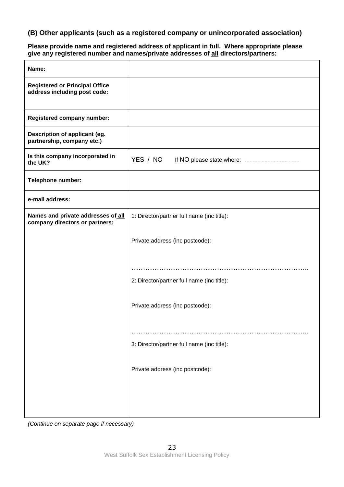**(B) Other applicants (such as a registered company or unincorporated association)**

**Please provide name and registered address of applicant in full. Where appropriate please give any registered number and names/private addresses of all directors/partners:** 

| Name:                                                                 |                                            |
|-----------------------------------------------------------------------|--------------------------------------------|
| <b>Registered or Principal Office</b><br>address including post code: |                                            |
| <b>Registered company number:</b>                                     |                                            |
| Description of applicant (eg.<br>partnership, company etc.)           |                                            |
| Is this company incorporated in<br>the UK?                            | YES / NO                                   |
| Telephone number:                                                     |                                            |
| e-mail address:                                                       |                                            |
| Names and private addresses of all<br>company directors or partners:  | 1: Director/partner full name (inc title): |
|                                                                       | Private address (inc postcode):            |
|                                                                       |                                            |
|                                                                       | 2: Director/partner full name (inc title): |
|                                                                       | Private address (inc postcode):            |
|                                                                       | 3: Director/partner full name (inc title): |
|                                                                       | Private address (inc postcode):            |
|                                                                       |                                            |
|                                                                       |                                            |

*(Continue on separate page if necessary)*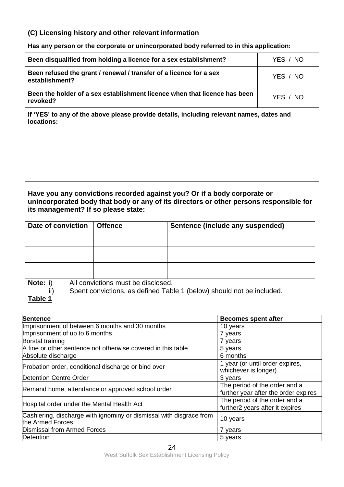## **(C) Licensing history and other relevant information**

#### **Has any person or the corporate or unincorporated body referred to in this application:**

| Been disqualified from holding a licence for a sex establishment?                     | YES / NO |
|---------------------------------------------------------------------------------------|----------|
| Been refused the grant / renewal / transfer of a licence for a sex<br>establishment?  | YFS / NO |
| Been the holder of a sex establishment licence when that licence has been<br>revoked? | YFS / NO |

**If 'YES' to any of the above please provide details, including relevant names, dates and locations:**

#### **Have you any convictions recorded against you? Or if a body corporate or unincorporated body that body or any of its directors or other persons responsible for its management? If so please state:**

| Date of conviction | Offence | Sentence (include any suspended) |
|--------------------|---------|----------------------------------|
|                    |         |                                  |
|                    |         |                                  |
|                    |         |                                  |
|                    |         |                                  |
|                    |         |                                  |
|                    |         |                                  |

**Note:** i) All convictions must be disclosed.

ii) Spent convictions, as defined Table 1 (below) should not be included.

**Table 1**

| <b>Sentence</b>                                                                         | <b>Becomes spent after</b>                                            |
|-----------------------------------------------------------------------------------------|-----------------------------------------------------------------------|
| Imprisonment of between 6 months and 30 months                                          | 10 years                                                              |
| Imprisonment of up to 6 months                                                          | 7 years                                                               |
| Borstal training                                                                        | 7 years                                                               |
| A fine or other sentence not otherwise covered in this table                            | 5 years                                                               |
| Absolute discharge                                                                      | 6 months                                                              |
| Probation order, conditional discharge or bind over                                     | 1 year (or until order expires,<br>whichever is longer)               |
| Detention Centre Order                                                                  | 3 years                                                               |
| Remand home, attendance or approved school order                                        | The period of the order and a<br>further year after the order expires |
| Hospital order under the Mental Health Act                                              | The period of the order and a<br>further2 years after it expires      |
| Cashiering, discharge with ignominy or dismissal with disgrace from<br>the Armed Forces | 10 years                                                              |
| Dismissal from Armed Forces                                                             | 7 years                                                               |
| Detention                                                                               | 5 years                                                               |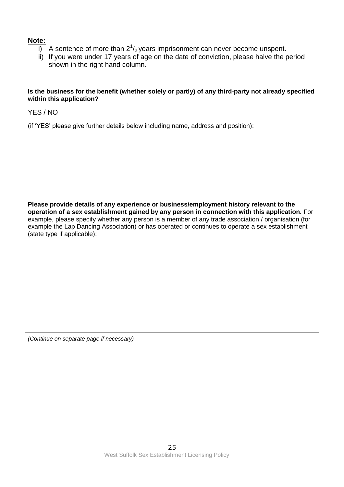#### **Note:**

- i) A sentence of more than  $2^{1}/2$  years imprisonment can never become unspent.
- $\overrightarrow{ii}$  If you were under 17 years of age on the date of conviction, please halve the period shown in the right hand column.

**Is the business for the benefit (whether solely or partly) of any third-party not already specified within this application?**

YES / NO

(if 'YES' please give further details below including name, address and position):

**Please provide details of any experience or business/employment history relevant to the operation of a sex establishment gained by any person in connection with this application.** For example, please specify whether any person is a member of any trade association / organisation (for example the Lap Dancing Association) or has operated or continues to operate a sex establishment (state type if applicable):

*(Continue on separate page if necessary)*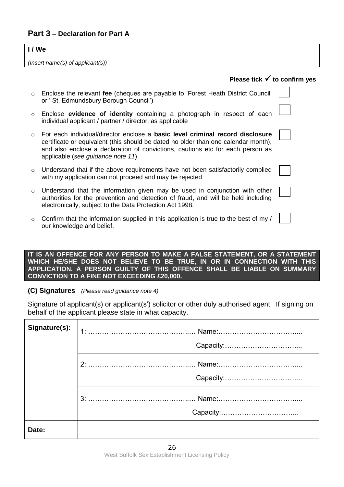# **Part 3 – Declaration for Part A**

# **I / We**

*(Insert name(s) of applicant(s))*

|         | Please tick $\checkmark$ to confirm yes                                                                                                                                                                                                                                                           |  |
|---------|---------------------------------------------------------------------------------------------------------------------------------------------------------------------------------------------------------------------------------------------------------------------------------------------------|--|
| $\circ$ | Enclose the relevant fee (cheques are payable to 'Forest Heath District Council'<br>or ' St. Edmundsbury Borough Council')                                                                                                                                                                        |  |
| $\circ$ | Enclose evidence of identity containing a photograph in respect of each<br>individual applicant / partner / director, as applicable                                                                                                                                                               |  |
| $\circ$ | For each individual/director enclose a <b>basic level criminal record disclosure</b><br>certificate or equivalent (this should be dated no older than one calendar month),<br>and also enclose a declaration of convictions, cautions etc for each person as<br>applicable (see guidance note 11) |  |
| $\circ$ | Understand that if the above requirements have not been satisfactorily complied<br>with my application can not proceed and may be rejected                                                                                                                                                        |  |
| $\circ$ | Understand that the information given may be used in conjunction with other<br>authorities for the prevention and detection of fraud, and will be held including<br>electronically, subject to the Data Protection Act 1998.                                                                      |  |
| $\circ$ | Confirm that the information supplied in this application is true to the best of my /<br>our knowledge and belief.                                                                                                                                                                                |  |

**IT IS AN OFFENCE FOR ANY PERSON TO MAKE A FALSE STATEMENT, OR A STATEMENT WHICH HE/SHE DOES NOT BELIEVE TO BE TRUE, IN OR IN CONNECTION WITH THIS APPLICATION. A PERSON GUILTY OF THIS OFFENCE SHALL BE LIABLE ON SUMMARY CONVICTION TO A FINE NOT EXCEEDING £20,000.**

#### **(C) Signatures** *(Please read guidance note 4)*

Signature of applicant(s) or applicant(s') solicitor or other duly authorised agent. If signing on behalf of the applicant please state in what capacity.

| Signature(s): |  |
|---------------|--|
|               |  |
|               |  |
|               |  |
|               |  |
|               |  |
| Date:         |  |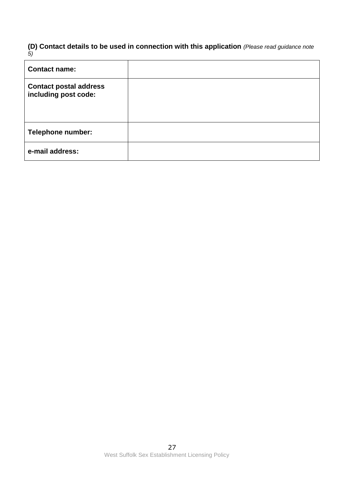**(D) Contact details to be used in connection with this application** *(Please read guidance note 5)*

| <b>Contact name:</b>                                  |  |
|-------------------------------------------------------|--|
| <b>Contact postal address</b><br>including post code: |  |
| Telephone number:                                     |  |
| e-mail address:                                       |  |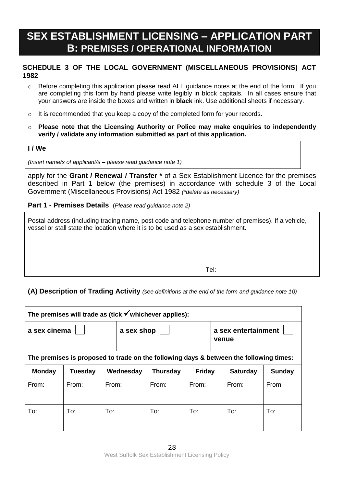# **SEX ESTABLISHMENT LICENSING – APPLICATION PART B: PREMISES / OPERATIONAL INFORMATION**

#### **SCHEDULE 3 OF THE LOCAL GOVERNMENT (MISCELLANEOUS PROVISIONS) ACT 1982**

- $\circ$  Before completing this application please read ALL guidance notes at the end of the form. If you are completing this form by hand please write legibly in block capitals. In all cases ensure that your answers are inside the boxes and written in **black** ink. Use additional sheets if necessary.
- o It is recommended that you keep a copy of the completed form for your records.
- o **Please note that the Licensing Authority or Police may make enquiries to independently verify / validate any information submitted as part of this application.**

# **I / We**

*(Insert name/s of applicant/s – please read guidance note 1)*

apply for the **Grant / Renewal / Transfer \*** of a Sex Establishment Licence for the premises described in Part 1 below (the premises) in accordance with schedule 3 of the Local Government (Miscellaneous Provisions) Act 1982 *(\*delete as necessary)*

**Part 1 - Premises Details** (*Please read guidance note 2)*

Postal address (including trading name, post code and telephone number of premises). If a vehicle, vessel or stall state the location where it is to be used as a sex establishment.

**Tel:** The contract of the contract of the contract of the contract of the contract of the contract of the contract of the contract of the contract of the contract of the contract of the contract of the contract of the con

# **(A) Description of Trading Activity** *(see definitions at the end of the form and guidance note 10)*

| The premises will trade as (tick $\checkmark$ whichever applies):                      |                |       |            |                 |               |                              |                 |        |
|----------------------------------------------------------------------------------------|----------------|-------|------------|-----------------|---------------|------------------------------|-----------------|--------|
| a sex cinema                                                                           |                |       | a sex shop |                 |               | a sex entertainment<br>venue |                 |        |
| The premises is proposed to trade on the following days & between the following times: |                |       |            |                 |               |                              |                 |        |
| <b>Monday</b>                                                                          | <b>Tuesday</b> |       | Wednesday  | <b>Thursday</b> | <b>Friday</b> |                              | <b>Saturday</b> | Sunday |
| From:                                                                                  | From:          | From: |            | From:           | From:         |                              | From:           | From:  |
| To:                                                                                    | To:            | To:   |            | To:             | To:           |                              | To:             | To:    |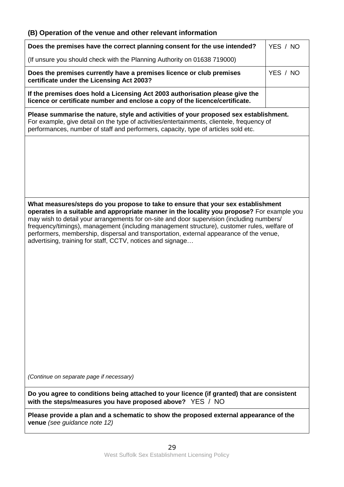# **(B) Operation of the venue and other relevant information**

| Does the premises have the correct planning consent for the use intended?                                                                                                                                                                                                                                                                                                                                                                                                                                                           | YES / NO |  |  |  |  |  |
|-------------------------------------------------------------------------------------------------------------------------------------------------------------------------------------------------------------------------------------------------------------------------------------------------------------------------------------------------------------------------------------------------------------------------------------------------------------------------------------------------------------------------------------|----------|--|--|--|--|--|
| (If unsure you should check with the Planning Authority on 01638 719000)                                                                                                                                                                                                                                                                                                                                                                                                                                                            |          |  |  |  |  |  |
| Does the premises currently have a premises licence or club premises<br>certificate under the Licensing Act 2003?                                                                                                                                                                                                                                                                                                                                                                                                                   | YES / NO |  |  |  |  |  |
| If the premises does hold a Licensing Act 2003 authorisation please give the<br>licence or certificate number and enclose a copy of the licence/certificate.                                                                                                                                                                                                                                                                                                                                                                        |          |  |  |  |  |  |
| Please summarise the nature, style and activities of your proposed sex establishment.<br>For example, give detail on the type of activities/entertainments, clientele, frequency of<br>performances, number of staff and performers, capacity, type of articles sold etc.                                                                                                                                                                                                                                                           |          |  |  |  |  |  |
|                                                                                                                                                                                                                                                                                                                                                                                                                                                                                                                                     |          |  |  |  |  |  |
|                                                                                                                                                                                                                                                                                                                                                                                                                                                                                                                                     |          |  |  |  |  |  |
|                                                                                                                                                                                                                                                                                                                                                                                                                                                                                                                                     |          |  |  |  |  |  |
|                                                                                                                                                                                                                                                                                                                                                                                                                                                                                                                                     |          |  |  |  |  |  |
| What measures/steps do you propose to take to ensure that your sex establishment<br>operates in a suitable and appropriate manner in the locality you propose? For example you<br>may wish to detail your arrangements for on-site and door supervision (including numbers/<br>frequency/timings), management (including management structure), customer rules, welfare of<br>performers, membership, dispersal and transportation, external appearance of the venue,<br>advertising, training for staff, CCTV, notices and signage |          |  |  |  |  |  |
| (Continue on separate page if necessary)                                                                                                                                                                                                                                                                                                                                                                                                                                                                                            |          |  |  |  |  |  |
| Do you agree to conditions being attached to your licence (if granted) that are consistent<br>with the steps/measures you have proposed above? YES / NO                                                                                                                                                                                                                                                                                                                                                                             |          |  |  |  |  |  |
| Please provide a plan and a schematic to show the proposed external appearance of the<br>venue (see guidance note 12)                                                                                                                                                                                                                                                                                                                                                                                                               |          |  |  |  |  |  |
|                                                                                                                                                                                                                                                                                                                                                                                                                                                                                                                                     |          |  |  |  |  |  |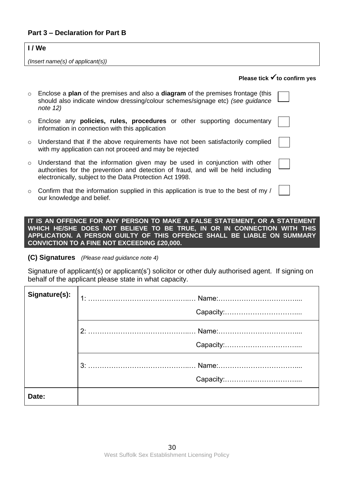#### **Part 3 – Declaration for Part B**

# **I / We**

*(Insert name(s) of applicant(s))*

#### **Please tick to confirm yes**

| $\circ$ | Enclose a <b>plan</b> of the premises and also a <b>diagram</b> of the premises frontage (this<br>should also indicate window dressing/colour schemes/signage etc) (see guidance<br>note $12)$                               |  |
|---------|------------------------------------------------------------------------------------------------------------------------------------------------------------------------------------------------------------------------------|--|
| $\circ$ | Enclose any <b>policies, rules, procedures</b> or other supporting documentary<br>information in connection with this application                                                                                            |  |
| $\circ$ | Understand that if the above requirements have not been satisfactorily complied<br>with my application can not proceed and may be rejected                                                                                   |  |
| $\circ$ | Understand that the information given may be used in conjunction with other<br>authorities for the prevention and detection of fraud, and will be held including<br>electronically, subject to the Data Protection Act 1998. |  |
| $\circ$ | Confirm that the information supplied in this application is true to the best of my /<br>our knowledge and belief.                                                                                                           |  |

**IT IS AN OFFENCE FOR ANY PERSON TO MAKE A FALSE STATEMENT, OR A STATEMENT WHICH HE/SHE DOES NOT BELIEVE TO BE TRUE, IN OR IN CONNECTION WITH THIS APPLICATION. A PERSON GUILTY OF THIS OFFENCE SHALL BE LIABLE ON SUMMARY CONVICTION TO A FINE NOT EXCEEDING £20,000.**

#### **(C) Signatures** *(Please read guidance note 4)*

Signature of applicant(s) or applicant(s') solicitor or other duly authorised agent. If signing on behalf of the applicant please state in what capacity.

| Signature(s): |  |
|---------------|--|
|               |  |
|               |  |
|               |  |
|               |  |
|               |  |
| Date:         |  |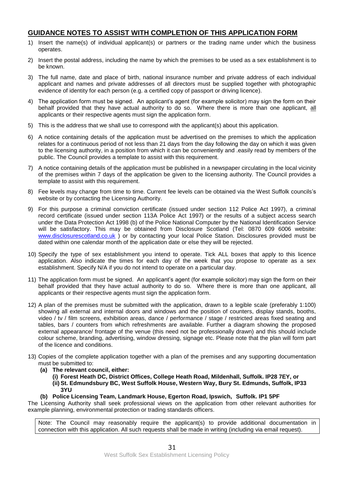# **GUIDANCE NOTES TO ASSIST WITH COMPLETION OF THIS APPLICATION FORM**

- 1) Insert the name(s) of individual applicant(s) or partners or the trading name under which the business operates.
- 2) Insert the postal address, including the name by which the premises to be used as a sex establishment is to be known.
- 3) The full name, date and place of birth, national insurance number and private address of each individual applicant and names and private addresses of all directors must be supplied together with photographic evidence of identity for each person (e.g. a certified copy of passport or driving licence).
- 4) The application form must be signed. An applicant's agent (for example solicitor) may sign the form on their behalf provided that they have actual authority to do so. Where there is more than one applicant, all applicants or their respective agents must sign the application form.
- 5) This is the address that we shall use to correspond with the applicant(s) about this application.
- 6) A notice containing details of the application must be advertised on the premises to which the application relates for a continuous period of not less than 21 days from the day following the day on which it was given to the licensing authority, in a position from which it can be conveniently and .easily read by members of the public. The Council provides a template to assist with this requirement.
- 7) A notice containing details of the application must be published in a newspaper circulating in the local vicinity of the premises within 7 days of the application be given to the licensing authority. The Council provides a template to assist with this requirement.
- 8) Fee levels may change from time to time. Current fee levels can be obtained via the West Suffolk councils's website or by contacting the Licensing Authority.
- 9) For this purpose a criminal conviction certificate (issued under section 112 Police Act 1997), a criminal record certificate (issued under section 113A Police Act 1997) or the results of a subject access search under the Data Protection Act 1998 (b) of the Police National Computer by the National Identification Service will be satisfactory. This may be obtained from Disclosure Scotland (Tel: 0870 609 6006 website: [www.disclosurescotland.co.uk](http://www.disclosurescotland.co.uk/) ) or by contacting your local Police Station. Disclosures provided must be dated within one calendar month of the application date or else they will be rejected.
- 10) Specify the type of sex establishment you intend to operate. Tick ALL boxes that apply to this licence application. Also indicate the times for each day of the week that you propose to operate as a sex establishment. Specify N/A if you do not intend to operate on a particular day.
- 11) The application form must be signed. An applicant's agent (for example solicitor) may sign the form on their behalf provided that they have actual authority to do so. Where there is more than one applicant, all applicants or their respective agents must sign the application form.
- 12) A plan of the premises must be submitted with the application, drawn to a legible scale (preferably 1:100) showing all external and internal doors and windows and the position of counters, display stands, booths, video / tv / film screens, exhibition areas, dance / performance / stage / restricted areas fixed seating and tables, bars / counters from which refreshments are available. Further a diagram showing the proposed external appearance/ frontage of the venue (this need not be professionally drawn) and this should include colour scheme, branding, advertising, window dressing, signage etc. Please note that the plan will form part of the licence and conditions.
- 13) Copies of the complete application together with a plan of the premises and any supporting documentation must be submitted to:
	- **(a) The relevant council, either:**
		- **(i) Forest Heath DC, District Offices, College Heath Road, Mildenhall, Suffolk. IP28 7EY, or (ii) St. Edmundsbury BC, West Suffolk House, Western Way, Bury St. Edmunds, Suffolk, IP33 3YU**

# **(b) Police Licensing Team, Landmark House, Egerton Road, Ipswich, Suffolk. IP1 5PF**

The Licensing Authority shall seek professional views on the application from other relevant authorities for example planning, environmental protection or trading standards officers.

Note: The Council may reasonably require the applicant(s) to provide additional documentation in connection with this application. All such requests shall be made in writing (including via email request).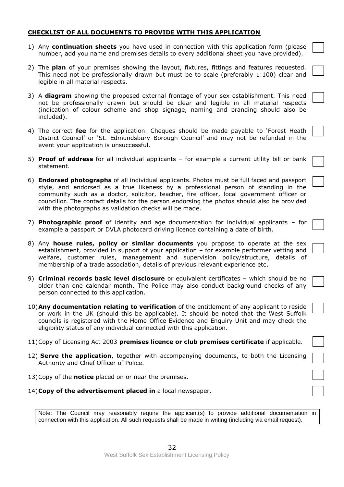#### **CHECKLIST OF ALL DOCUMENTS TO PROVIDE WITH THIS APPLICATION**

- 1) Any **continuation sheets** you have used in connection with this application form (please number, add you name and premises details to every additional sheet you have provided).
- 2) The **plan** of your premises showing the layout, fixtures, fittings and features requested. This need not be professionally drawn but must be to scale (preferably 1:100) clear and legible in all material respects.
- 3) A **diagram** showing the proposed external frontage of your sex establishment. This need not be professionally drawn but should be clear and legible in all material respects (indication of colour scheme and shop signage, naming and branding should also be included).
- 4) The correct **fee** for the application. Cheques should be made payable to 'Forest Heath District Council' or 'St. Edmundsbury Borough Council' and may not be refunded in the event your application is unsuccessful.
- 5) **Proof of address** for all individual applicants for example a current utility bill or bank statement.
- 6) **Endorsed photographs** of all individual applicants. Photos must be full faced and passport style, and endorsed as a true likeness by a professional person of standing in the community such as a doctor, solicitor, teacher, fire officer, local government officer or councillor. The contact details for the person endorsing the photos should also be provided with the photographs as validation checks will be made.
- 7) **Photographic proof** of identity and age documentation for individual applicants for example a passport or DVLA photocard driving licence containing a date of birth.
- 8) Any **house rules, policy or similar documents** you propose to operate at the sex establishment, provided in support of your application – for example performer vetting and welfare, customer rules, management and supervision policy/structure, details of membership of a trade association, details of previous relevant experience etc.
- 9) **Criminal records basic level disclosure** or equivalent certificates which should be no older than one calendar month. The Police may also conduct background checks of any person connected to this application.
- 10)**Any documentation relating to verification** of the entitlement of any applicant to reside or work in the UK (should this be applicable). It should be noted that the West Suffolk councils is registered with the Home Office Evidence and Enquiry Unit and may check the eligibility status of any individual connected with this application.
- 11)Copy of Licensing Act 2003 **premises licence or club premises certificate** if applicable.
- 12) **Serve the application**, together with accompanying documents, to both the Licensing Authority and Chief Officer of Police.
- 13)Copy of the **notice** placed on or near the premises.
- 14)**Copy of the advertisement placed in** a local newspaper.

Note: The Council may reasonably require the applicant(s) to provide additional documentation in connection with this application. All such requests shall be made in writing (including via email request).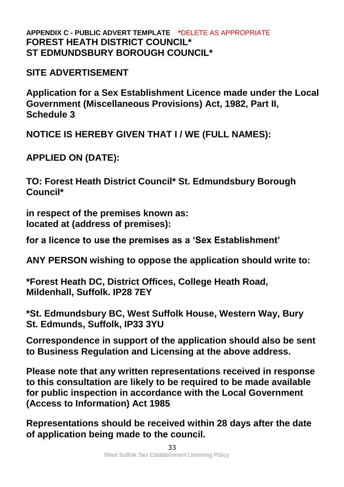# **APPENDIX C - PUBLIC ADVERT TEMPLATE \***DELETE AS APPROPRIATE **FOREST HEATH DISTRICT COUNCIL\* ST EDMUNDSBURY BOROUGH COUNCIL\***

# **SITE ADVERTISEMENT**

**Application for a Sex Establishment Licence made under the Local Government (Miscellaneous Provisions) Act, 1982, Part II, Schedule 3**

**NOTICE IS HEREBY GIVEN THAT I / WE (FULL NAMES):**

**APPLIED ON (DATE):**

**TO: Forest Heath District Council\* St. Edmundsbury Borough Council\***

**in respect of the premises known as: located at (address of premises):**

**for a licence to use the premises as a 'Sex Establishment'**

**ANY PERSON wishing to oppose the application should write to:**

**\*Forest Heath DC, District Offices, College Heath Road, Mildenhall, Suffolk. IP28 7EY**

**\*St. Edmundsbury BC, West Suffolk House, Western Way, Bury St. Edmunds, Suffolk, IP33 3YU**

**Correspondence in support of the application should also be sent to Business Regulation and Licensing at the above address.**

**Please note that any written representations received in response to this consultation are likely to be required to be made available for public inspection in accordance with the Local Government (Access to Information) Act 1985**

**Representations should be received within 28 days after the date of application being made to the council.**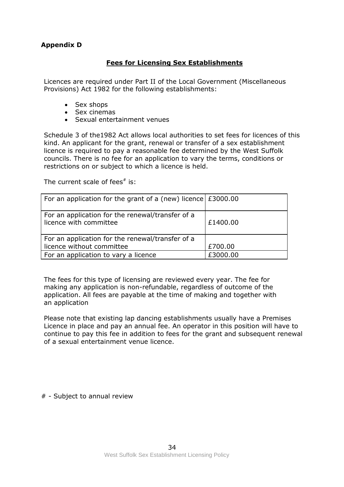# **Appendix D**

# **Fees for Licensing Sex Establishments**

Licences are required under Part II of the Local Government (Miscellaneous Provisions) Act 1982 for the following establishments:

- Sex shops
- Sex cinemas
- Sexual entertainment venues

Schedule 3 of the1982 Act allows local authorities to set fees for licences of this kind. An applicant for the grant, renewal or transfer of a sex establishment licence is required to pay a reasonable fee determined by the West Suffolk councils. There is no fee for an application to vary the terms, conditions or restrictions on or subject to which a licence is held.

The current scale of fees $*$  is:

| For an application for the grant of a (new) licence $\pm 3000.00$          |          |
|----------------------------------------------------------------------------|----------|
| For an application for the renewal/transfer of a<br>licence with committee | £1400.00 |
| For an application for the renewal/transfer of a                           |          |
| licence without committee                                                  | £700.00  |
| For an application to vary a licence                                       | £3000.00 |

The fees for this type of licensing are reviewed every year. The fee for making any application is non-refundable, regardless of outcome of the application. All fees are payable at the time of making and together with an application

Please note that existing lap dancing establishments usually have a Premises Licence in place and pay an annual fee. An operator in this position will have to continue to pay this fee in addition to fees for the grant and subsequent renewal of a sexual entertainment venue licence.

# - Subject to annual review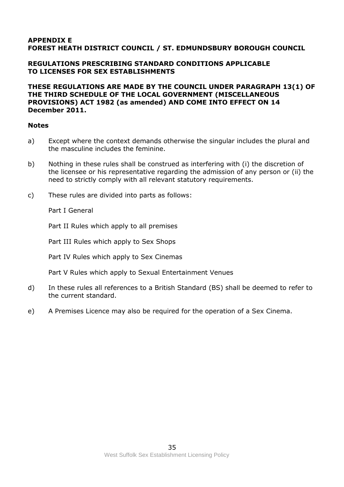#### **APPENDIX E FOREST HEATH DISTRICT COUNCIL / ST. EDMUNDSBURY BOROUGH COUNCIL**

#### **REGULATIONS PRESCRIBING STANDARD CONDITIONS APPLICABLE TO LICENSES FOR SEX ESTABLISHMENTS**

#### **THESE REGULATIONS ARE MADE BY THE COUNCIL UNDER PARAGRAPH 13(1) OF THE THIRD SCHEDULE OF THE LOCAL GOVERNMENT (MISCELLANEOUS PROVISIONS) ACT 1982 (as amended) AND COME INTO EFFECT ON 14 December 2011.**

#### **Notes**

- a) Except where the context demands otherwise the singular includes the plural and the masculine includes the feminine.
- b) Nothing in these rules shall be construed as interfering with (i) the discretion of the licensee or his representative regarding the admission of any person or (ii) the need to strictly comply with all relevant statutory requirements.
- c) These rules are divided into parts as follows:

Part I General

Part II Rules which apply to all premises

Part III Rules which apply to Sex Shops

Part IV Rules which apply to Sex Cinemas

Part V Rules which apply to Sexual Entertainment Venues

- d) In these rules all references to a British Standard (BS) shall be deemed to refer to the current standard.
- e) A Premises Licence may also be required for the operation of a Sex Cinema.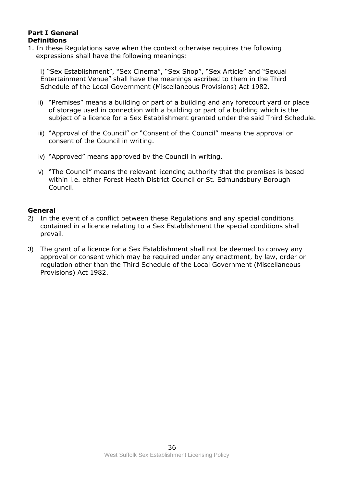#### **Part I General Definitions**

1. In these Regulations save when the context otherwise requires the following expressions shall have the following meanings:

i) "Sex Establishment", "Sex Cinema", "Sex Shop", "Sex Article" and "Sexual Entertainment Venue" shall have the meanings ascribed to them in the Third Schedule of the Local Government (Miscellaneous Provisions) Act 1982.

- ii) "Premises" means a building or part of a building and any forecourt yard or place of storage used in connection with a building or part of a building which is the subject of a licence for a Sex Establishment granted under the said Third Schedule.
- iii) "Approval of the Council" or "Consent of the Council" means the approval or consent of the Council in writing.
- iv) "Approved" means approved by the Council in writing.
- v) "The Council" means the relevant licencing authority that the premises is based within i.e. either Forest Heath District Council or St. Edmundsbury Borough Council.

#### **General**

- 2) In the event of a conflict between these Regulations and any special conditions contained in a licence relating to a Sex Establishment the special conditions shall prevail.
- 3) The grant of a licence for a Sex Establishment shall not be deemed to convey any approval or consent which may be required under any enactment, by law, order or regulation other than the Third Schedule of the Local Government (Miscellaneous Provisions) Act 1982.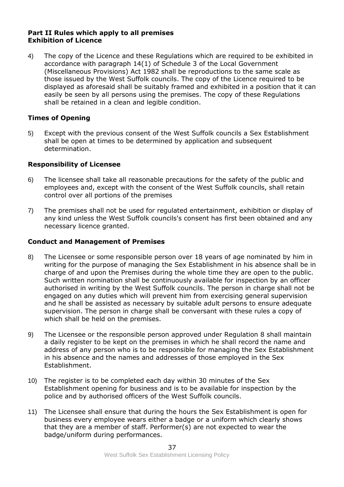#### **Part II Rules which apply to all premises Exhibition of Licence**

4) The copy of the Licence and these Regulations which are required to be exhibited in accordance with paragraph 14(1) of Schedule 3 of the Local Government (Miscellaneous Provisions) Act 1982 shall be reproductions to the same scale as those issued by the West Suffolk councils. The copy of the Licence required to be displayed as aforesaid shall be suitably framed and exhibited in a position that it can easily be seen by all persons using the premises. The copy of these Regulations shall be retained in a clean and legible condition.

# **Times of Opening**

5) Except with the previous consent of the West Suffolk councils a Sex Establishment shall be open at times to be determined by application and subsequent determination.

## **Responsibility of Licensee**

- 6) The licensee shall take all reasonable precautions for the safety of the public and employees and, except with the consent of the West Suffolk councils, shall retain control over all portions of the premises
- 7) The premises shall not be used for regulated entertainment, exhibition or display of any kind unless the West Suffolk councils's consent has first been obtained and any necessary licence granted.

#### **Conduct and Management of Premises**

- 8) The Licensee or some responsible person over 18 years of age nominated by him in writing for the purpose of managing the Sex Establishment in his absence shall be in charge of and upon the Premises during the whole time they are open to the public. Such written nomination shall be continuously available for inspection by an officer authorised in writing by the West Suffolk councils. The person in charge shall not be engaged on any duties which will prevent him from exercising general supervision and he shall be assisted as necessary by suitable adult persons to ensure adequate supervision. The person in charge shall be conversant with these rules a copy of which shall be held on the premises.
- 9) The Licensee or the responsible person approved under Regulation 8 shall maintain a daily register to be kept on the premises in which he shall record the name and address of any person who is to be responsible for managing the Sex Establishment in his absence and the names and addresses of those employed in the Sex Establishment.
- 10) The register is to be completed each day within 30 minutes of the Sex Establishment opening for business and is to be available for inspection by the police and by authorised officers of the West Suffolk councils.
- 11) The Licensee shall ensure that during the hours the Sex Establishment is open for business every employee wears either a badge or a uniform which clearly shows that they are a member of staff. Performer(s) are not expected to wear the badge/uniform during performances.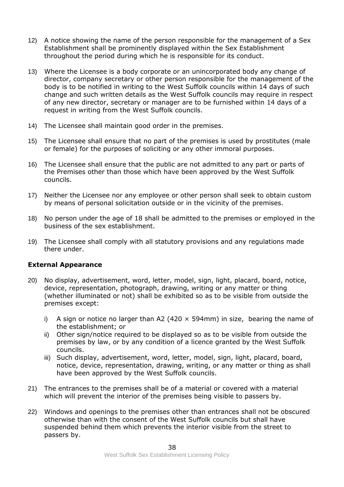- 12) A notice showing the name of the person responsible for the management of a Sex Establishment shall be prominently displayed within the Sex Establishment throughout the period during which he is responsible for its conduct.
- 13) Where the Licensee is a body corporate or an unincorporated body any change of director, company secretary or other person responsible for the management of the body is to be notified in writing to the West Suffolk councils within 14 days of such change and such written details as the West Suffolk councils may require in respect of any new director, secretary or manager are to be furnished within 14 days of a request in writing from the West Suffolk councils.
- 14) The Licensee shall maintain good order in the premises.
- 15) The Licensee shall ensure that no part of the premises is used by prostitutes (male or female) for the purposes of soliciting or any other immoral purposes.
- 16) The Licensee shall ensure that the public are not admitted to any part or parts of the Premises other than those which have been approved by the West Suffolk councils.
- 17) Neither the Licensee nor any employee or other person shall seek to obtain custom by means of personal solicitation outside or in the vicinity of the premises.
- 18) No person under the age of 18 shall be admitted to the premises or employed in the business of the sex establishment.
- 19) The Licensee shall comply with all statutory provisions and any regulations made there under.

#### **External Appearance**

- 20) No display, advertisement, word, letter, model, sign, light, placard, board, notice, device, representation, photograph, drawing, writing or any matter or thing (whether illuminated or not) shall be exhibited so as to be visible from outside the premises except:
	- i) A sign or notice no larger than A2 (420  $\times$  594mm) in size, bearing the name of the establishment; or
	- ii) Other sign/notice required to be displayed so as to be visible from outside the premises by law, or by any condition of a licence granted by the West Suffolk councils.
	- iii) Such display, advertisement, word, letter, model, sign, light, placard, board, notice, device, representation, drawing, writing, or any matter or thing as shall have been approved by the West Suffolk councils.
- 21) The entrances to the premises shall be of a material or covered with a material which will prevent the interior of the premises being visible to passers by.
- 22) Windows and openings to the premises other than entrances shall not be obscured otherwise than with the consent of the West Suffolk councils but shall have suspended behind them which prevents the interior visible from the street to passers by.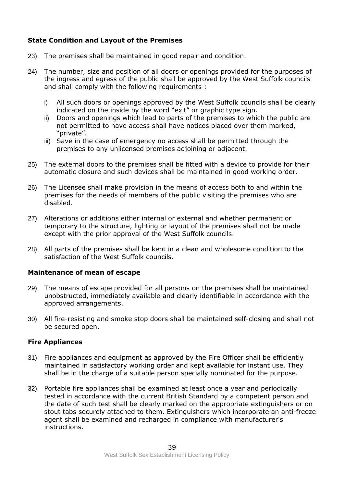# **State Condition and Layout of the Premises**

- 23) The premises shall be maintained in good repair and condition.
- 24) The number, size and position of all doors or openings provided for the purposes of the ingress and egress of the public shall be approved by the West Suffolk councils and shall comply with the following requirements :
	- i) All such doors or openings approved by the West Suffolk councils shall be clearly indicated on the inside by the word "exit" or graphic type sign.
	- ii) Doors and openings which lead to parts of the premises to which the public are not permitted to have access shall have notices placed over them marked, "private".
	- iii) Save in the case of emergency no access shall be permitted through the premises to any unlicensed premises adjoining or adjacent.
- 25) The external doors to the premises shall be fitted with a device to provide for their automatic closure and such devices shall be maintained in good working order.
- 26) The Licensee shall make provision in the means of access both to and within the premises for the needs of members of the public visiting the premises who are disabled.
- 27) Alterations or additions either internal or external and whether permanent or temporary to the structure, lighting or layout of the premises shall not be made except with the prior approval of the West Suffolk councils.
- 28) All parts of the premises shall be kept in a clean and wholesome condition to the satisfaction of the West Suffolk councils.

#### **Maintenance of mean of escape**

- 29) The means of escape provided for all persons on the premises shall be maintained unobstructed, immediately available and clearly identifiable in accordance with the approved arrangements.
- 30) All fire-resisting and smoke stop doors shall be maintained self-closing and shall not be secured open.

#### **Fire Appliances**

- 31) Fire appliances and equipment as approved by the Fire Officer shall be efficiently maintained in satisfactory working order and kept available for instant use. They shall be in the charge of a suitable person specially nominated for the purpose.
- 32) Portable fire appliances shall be examined at least once a year and periodically tested in accordance with the current British Standard by a competent person and the date of such test shall be clearly marked on the appropriate extinguishers or on stout tabs securely attached to them. Extinguishers which incorporate an anti-freeze agent shall be examined and recharged in compliance with manufacturer's instructions.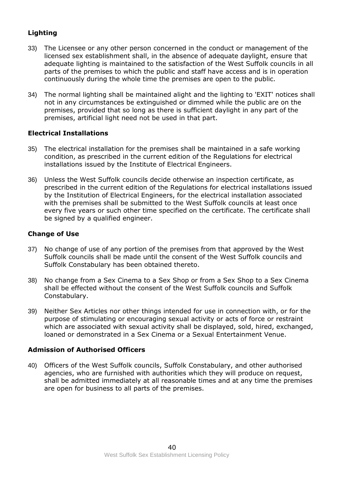# **Lighting**

- 33) The Licensee or any other person concerned in the conduct or management of the licensed sex establishment shall, in the absence of adequate daylight, ensure that adequate lighting is maintained to the satisfaction of the West Suffolk councils in all parts of the premises to which the public and staff have access and is in operation continuously during the whole time the premises are open to the public.
- 34) The normal lighting shall be maintained alight and the lighting to 'EXIT' notices shall not in any circumstances be extinguished or dimmed while the public are on the premises, provided that so long as there is sufficient daylight in any part of the premises, artificial light need not be used in that part.

## **Electrical Installations**

- 35) The electrical installation for the premises shall be maintained in a safe working condition, as prescribed in the current edition of the Regulations for electrical installations issued by the Institute of Electrical Engineers.
- 36) Unless the West Suffolk councils decide otherwise an inspection certificate, as prescribed in the current edition of the Regulations for electrical installations issued by the Institution of Electrical Engineers, for the electrical installation associated with the premises shall be submitted to the West Suffolk councils at least once every five years or such other time specified on the certificate. The certificate shall be signed by a qualified engineer.

## **Change of Use**

- 37) No change of use of any portion of the premises from that approved by the West Suffolk councils shall be made until the consent of the West Suffolk councils and Suffolk Constabulary has been obtained thereto.
- 38) No change from a Sex Cinema to a Sex Shop or from a Sex Shop to a Sex Cinema shall be effected without the consent of the West Suffolk councils and Suffolk Constabulary.
- 39) Neither Sex Articles nor other things intended for use in connection with, or for the purpose of stimulating or encouraging sexual activity or acts of force or restraint which are associated with sexual activity shall be displayed, sold, hired, exchanged, loaned or demonstrated in a Sex Cinema or a Sexual Entertainment Venue.

#### **Admission of Authorised Officers**

40) Officers of the West Suffolk councils, Suffolk Constabulary, and other authorised agencies, who are furnished with authorities which they will produce on request, shall be admitted immediately at all reasonable times and at any time the premises are open for business to all parts of the premises.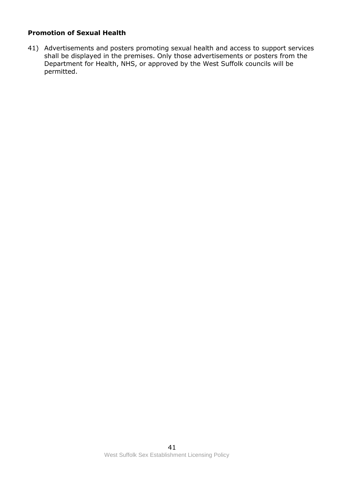# **Promotion of Sexual Health**

41) Advertisements and posters promoting sexual health and access to support services shall be displayed in the premises. Only those advertisements or posters from the Department for Health, NHS, or approved by the West Suffolk councils will be permitted.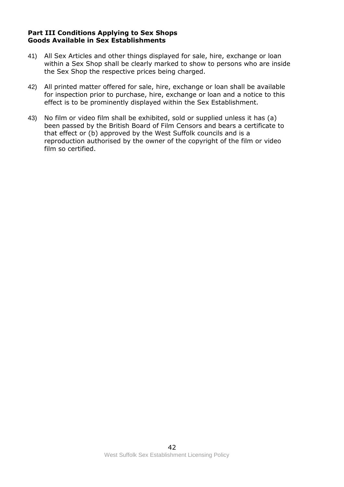#### **Part III Conditions Applying to Sex Shops Goods Available in Sex Establishments**

- 41) All Sex Articles and other things displayed for sale, hire, exchange or loan within a Sex Shop shall be clearly marked to show to persons who are inside the Sex Shop the respective prices being charged.
- 42) All printed matter offered for sale, hire, exchange or loan shall be available for inspection prior to purchase, hire, exchange or loan and a notice to this effect is to be prominently displayed within the Sex Establishment.
- 43) No film or video film shall be exhibited, sold or supplied unless it has (a) been passed by the British Board of Film Censors and bears a certificate to that effect or (b) approved by the West Suffolk councils and is a reproduction authorised by the owner of the copyright of the film or video film so certified.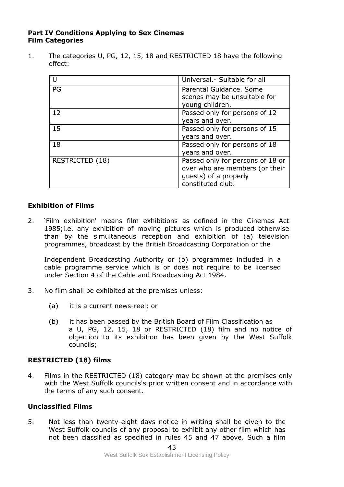#### **Part IV Conditions Applying to Sex Cinemas Film Categories**

1. The categories U, PG, 12, 15, 18 and RESTRICTED 18 have the following effect:

|                 | Universal .- Suitable for all                                                                                    |
|-----------------|------------------------------------------------------------------------------------------------------------------|
| PG              | Parental Guidance. Some<br>scenes may be unsuitable for<br>young children.                                       |
| 12              | Passed only for persons of 12<br>years and over.                                                                 |
| 15              | Passed only for persons of 15<br>years and over.                                                                 |
| 18              | Passed only for persons of 18<br>years and over.                                                                 |
| RESTRICTED (18) | Passed only for persons of 18 or<br>over who are members (or their<br>guests) of a properly<br>constituted club. |

#### **Exhibition of Films**

2. 'Film exhibition' means film exhibitions as defined in the Cinemas Act 1985;i.e. any exhibition of moving pictures which is produced otherwise than by the simultaneous reception and exhibition of (a) television programmes, broadcast by the British Broadcasting Corporation or the

Independent Broadcasting Authority or (b) programmes included in a cable programme service which is or does not require to be licensed under Section 4 of the Cable and Broadcasting Act 1984.

- 3. No film shall be exhibited at the premises unless:
	- (a) it is a current news-reel; or
	- (b) it has been passed by the British Board of Film Classification as a U, PG, 12, 15, 18 or RESTRICTED (18) film and no notice of objection to its exhibition has been given by the West Suffolk councils;

#### **RESTRICTED (18) films**

4. Films in the RESTRICTED (18) category may be shown at the premises only with the West Suffolk councils's prior written consent and in accordance with the terms of any such consent.

#### **Unclassified Films**

5. Not less than twenty-eight days notice in writing shall be given to the West Suffolk councils of any proposal to exhibit any other film which has not been classified as specified in rules 45 and 47 above. Such a film

43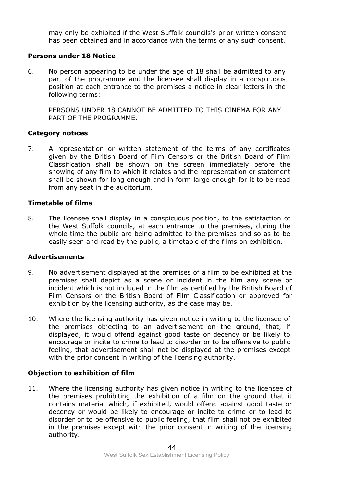may only be exhibited if the West Suffolk councils's prior written consent has been obtained and in accordance with the terms of any such consent.

#### **Persons under 18 Notice**

6. No person appearing to be under the age of 18 shall be admitted to any part of the programme and the licensee shall display in a conspicuous position at each entrance to the premises a notice in clear letters in the following terms:

PERSONS UNDER 18 CANNOT BE ADMITTED TO THIS CINEMA FOR ANY PART OF THE PROGRAMME.

#### **Category notices**

7. A representation or written statement of the terms of any certificates given by the British Board of Film Censors or the British Board of Film Classification shall be shown on the screen immediately before the showing of any film to which it relates and the representation or statement shall be shown for long enough and in form large enough for it to be read from any seat in the auditorium.

#### **Timetable of films**

8. The licensee shall display in a conspicuous position, to the satisfaction of the West Suffolk councils, at each entrance to the premises, during the whole time the public are being admitted to the premises and so as to be easily seen and read by the public, a timetable of the films on exhibition.

#### **Advertisements**

- 9. No advertisement displayed at the premises of a film to be exhibited at the premises shall depict as a scene or incident in the film any scene or incident which is not included in the film as certified by the British Board of Film Censors or the British Board of Film Classification or approved for exhibition by the licensing authority, as the case may be.
- 10. Where the licensing authority has given notice in writing to the licensee of the premises objecting to an advertisement on the ground, that, if displayed, it would offend against good taste or decency or be likely to encourage or incite to crime to lead to disorder or to be offensive to public feeling, that advertisement shall not be displayed at the premises except with the prior consent in writing of the licensing authority.

#### **Objection to exhibition of film**

11. Where the licensing authority has given notice in writing to the licensee of the premises prohibiting the exhibition of a film on the ground that it contains material which, if exhibited, would offend against good taste or decency or would be likely to encourage or incite to crime or to lead to disorder or to be offensive to public feeling, that film shall not be exhibited in the premises except with the prior consent in writing of the licensing authority.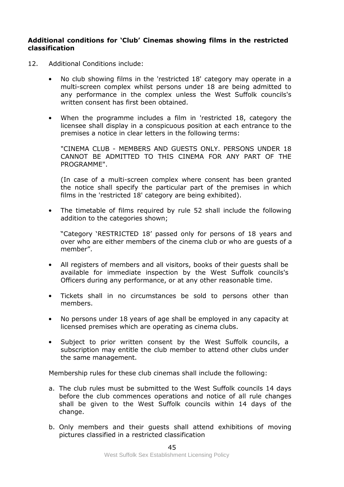#### **Additional conditions for 'Club' Cinemas showing films in the restricted classification**

- 12. Additional Conditions include:
	- No club showing films in the 'restricted 18' category may operate in a multi-screen complex whilst persons under 18 are being admitted to any performance in the complex unless the West Suffolk councils's written consent has first been obtained.
	- When the programme includes a film in 'restricted 18, category the licensee shall display in a conspicuous position at each entrance to the premises a notice in clear letters in the following terms:

"CINEMA CLUB - MEMBERS AND GUESTS ONLY. PERSONS UNDER 18 CANNOT BE ADMITTED TO THIS CINEMA FOR ANY PART OF THE PROGRAMME".

(In case of a multi-screen complex where consent has been granted the notice shall specify the particular part of the premises in which films in the 'restricted 18' category are being exhibited).

• The timetable of films required by rule 52 shall include the following addition to the categories shown;

"Category 'RESTRICTED 18' passed only for persons of 18 years and over who are either members of the cinema club or who are guests of a member".

- All registers of members and all visitors, books of their guests shall be available for immediate inspection by the West Suffolk councils's Officers during any performance, or at any other reasonable time.
- Tickets shall in no circumstances be sold to persons other than members.
- No persons under 18 years of age shall be employed in any capacity at licensed premises which are operating as cinema clubs.
- Subject to prior written consent by the West Suffolk councils, a subscription may entitle the club member to attend other clubs under the same management.

Membership rules for these club cinemas shall include the following:

- a. The club rules must be submitted to the West Suffolk councils 14 days before the club commences operations and notice of all rule changes shall be given to the West Suffolk councils within 14 days of the change.
- b. Only members and their guests shall attend exhibitions of moving pictures classified in a restricted classification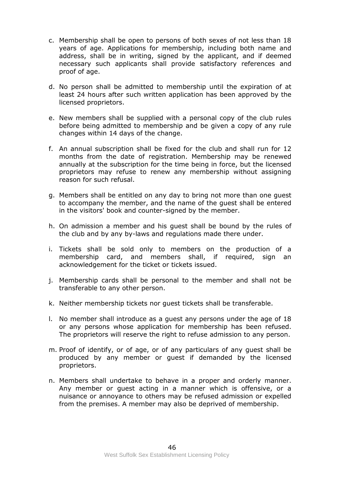- c. Membership shall be open to persons of both sexes of not less than 18 years of age. Applications for membership, including both name and address, shall be in writing, signed by the applicant, and if deemed necessary such applicants shall provide satisfactory references and proof of age.
- d. No person shall be admitted to membership until the expiration of at least 24 hours after such written application has been approved by the licensed proprietors.
- e. New members shall be supplied with a personal copy of the club rules before being admitted to membership and be given a copy of any rule changes within 14 days of the change.
- f. An annual subscription shall be fixed for the club and shall run for 12 months from the date of registration. Membership may be renewed annually at the subscription for the time being in force, but the licensed proprietors may refuse to renew any membership without assigning reason for such refusal.
- g. Members shall be entitled on any day to bring not more than one guest to accompany the member, and the name of the guest shall be entered in the visitors' book and counter-signed by the member.
- h. On admission a member and his guest shall be bound by the rules of the club and by any by-laws and regulations made there under.
- i. Tickets shall be sold only to members on the production of a membership card, and members shall, if required, sign an acknowledgement for the ticket or tickets issued.
- j. Membership cards shall be personal to the member and shall not be transferable to any other person.
- k. Neither membership tickets nor guest tickets shall be transferable.
- l. No member shall introduce as a guest any persons under the age of 18 or any persons whose application for membership has been refused. The proprietors will reserve the right to refuse admission to any person.
- m. Proof of identify, or of age, or of any particulars of any guest shall be produced by any member or guest if demanded by the licensed proprietors.
- n. Members shall undertake to behave in a proper and orderly manner. Any member or guest acting in a manner which is offensive, or a nuisance or annoyance to others may be refused admission or expelled from the premises. A member may also be deprived of membership.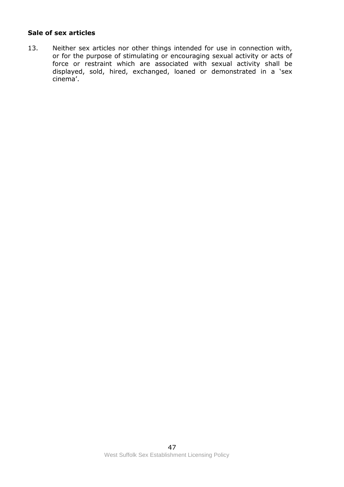# **Sale of sex articles**

13. Neither sex articles nor other things intended for use in connection with, or for the purpose of stimulating or encouraging sexual activity or acts of force or restraint which are associated with sexual activity shall be displayed, sold, hired, exchanged, loaned or demonstrated in a 'sex cinema'.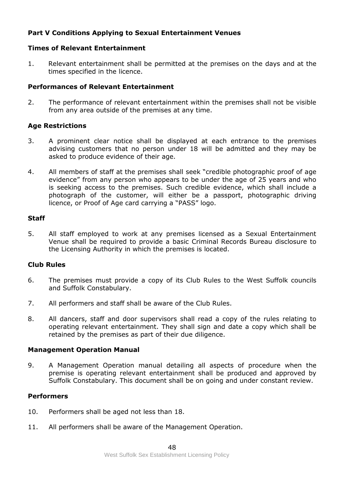# **Part V Conditions Applying to Sexual Entertainment Venues**

#### **Times of Relevant Entertainment**

1. Relevant entertainment shall be permitted at the premises on the days and at the times specified in the licence.

#### **Performances of Relevant Entertainment**

2. The performance of relevant entertainment within the premises shall not be visible from any area outside of the premises at any time.

#### **Age Restrictions**

- 3. A prominent clear notice shall be displayed at each entrance to the premises advising customers that no person under 18 will be admitted and they may be asked to produce evidence of their age.
- 4. All members of staff at the premises shall seek "credible photographic proof of age evidence" from any person who appears to be under the age of 25 years and who is seeking access to the premises. Such credible evidence, which shall include a photograph of the customer, will either be a passport, photographic driving licence, or Proof of Age card carrying a "PASS" logo.

#### **Staff**

5. All staff employed to work at any premises licensed as a Sexual Entertainment Venue shall be required to provide a basic Criminal Records Bureau disclosure to the Licensing Authority in which the premises is located.

#### **Club Rules**

- 6. The premises must provide a copy of its Club Rules to the West Suffolk councils and Suffolk Constabulary.
- 7. All performers and staff shall be aware of the Club Rules.
- 8. All dancers, staff and door supervisors shall read a copy of the rules relating to operating relevant entertainment. They shall sign and date a copy which shall be retained by the premises as part of their due diligence.

#### **Management Operation Manual**

9. A Management Operation manual detailing all aspects of procedure when the premise is operating relevant entertainment shall be produced and approved by Suffolk Constabulary. This document shall be on going and under constant review.

#### **Performers**

- 10. Performers shall be aged not less than 18.
- 11. All performers shall be aware of the Management Operation.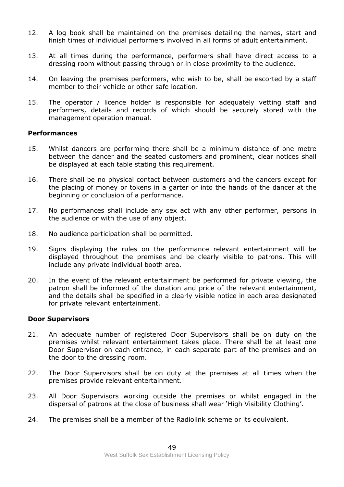- 12. A log book shall be maintained on the premises detailing the names, start and finish times of individual performers involved in all forms of adult entertainment.
- 13. At all times during the performance, performers shall have direct access to a dressing room without passing through or in close proximity to the audience.
- 14. On leaving the premises performers, who wish to be, shall be escorted by a staff member to their vehicle or other safe location.
- 15. The operator / licence holder is responsible for adequately vetting staff and performers, details and records of which should be securely stored with the management operation manual.

#### **Performances**

- 15. Whilst dancers are performing there shall be a minimum distance of one metre between the dancer and the seated customers and prominent, clear notices shall be displayed at each table stating this requirement.
- 16. There shall be no physical contact between customers and the dancers except for the placing of money or tokens in a garter or into the hands of the dancer at the beginning or conclusion of a performance.
- 17. No performances shall include any sex act with any other performer, persons in the audience or with the use of any object.
- 18. No audience participation shall be permitted.
- 19. Signs displaying the rules on the performance relevant entertainment will be displayed throughout the premises and be clearly visible to patrons. This will include any private individual booth area.
- 20. In the event of the relevant entertainment be performed for private viewing, the patron shall be informed of the duration and price of the relevant entertainment, and the details shall be specified in a clearly visible notice in each area designated for private relevant entertainment.

#### **Door Supervisors**

- 21. An adequate number of registered Door Supervisors shall be on duty on the premises whilst relevant entertainment takes place. There shall be at least one Door Supervisor on each entrance, in each separate part of the premises and on the door to the dressing room.
- 22. The Door Supervisors shall be on duty at the premises at all times when the premises provide relevant entertainment.
- 23. All Door Supervisors working outside the premises or whilst engaged in the dispersal of patrons at the close of business shall wear 'High Visibility Clothing'.
- 24. The premises shall be a member of the Radiolink scheme or its equivalent.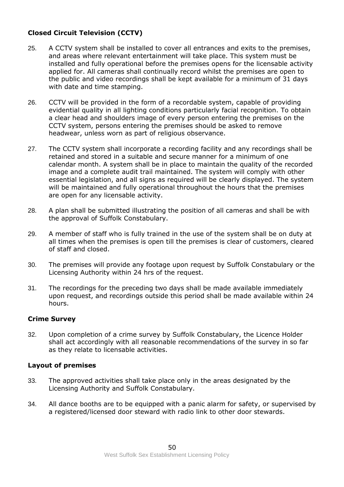# **Closed Circuit Television (CCTV)**

- 25. A CCTV system shall be installed to cover all entrances and exits to the premises, and areas where relevant entertainment will take place. This system must be installed and fully operational before the premises opens for the licensable activity applied for. All cameras shall continually record whilst the premises are open to the public and video recordings shall be kept available for a minimum of 31 days with date and time stamping.
- 26. CCTV will be provided in the form of a recordable system, capable of providing evidential quality in all lighting conditions particularly facial recognition. To obtain a clear head and shoulders image of every person entering the premises on the CCTV system, persons entering the premises should be asked to remove headwear, unless worn as part of religious observance.
- 27. The CCTV system shall incorporate a recording facility and any recordings shall be retained and stored in a suitable and secure manner for a minimum of one calendar month. A system shall be in place to maintain the quality of the recorded image and a complete audit trail maintained. The system will comply with other essential legislation, and all signs as required will be clearly displayed. The system will be maintained and fully operational throughout the hours that the premises are open for any licensable activity.
- 28. A plan shall be submitted illustrating the position of all cameras and shall be with the approval of Suffolk Constabulary.
- 29. A member of staff who is fully trained in the use of the system shall be on duty at all times when the premises is open till the premises is clear of customers, cleared of staff and closed.
- 30. The premises will provide any footage upon request by Suffolk Constabulary or the Licensing Authority within 24 hrs of the request.
- 31. The recordings for the preceding two days shall be made available immediately upon request, and recordings outside this period shall be made available within 24 hours.

#### **Crime Survey**

32. Upon completion of a crime survey by Suffolk Constabulary, the Licence Holder shall act accordingly with all reasonable recommendations of the survey in so far as they relate to licensable activities.

#### **Layout of premises**

- 33. The approved activities shall take place only in the areas designated by the Licensing Authority and Suffolk Constabulary.
- 34. All dance booths are to be equipped with a panic alarm for safety, or supervised by a registered/licensed door steward with radio link to other door stewards.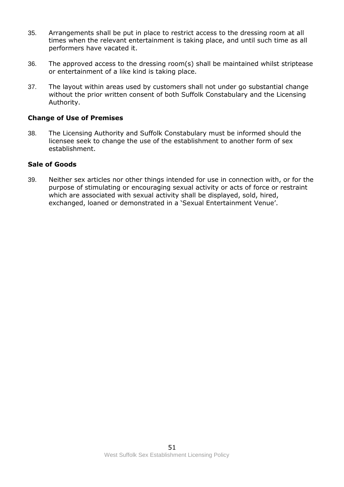- 35. Arrangements shall be put in place to restrict access to the dressing room at all times when the relevant entertainment is taking place, and until such time as all performers have vacated it.
- 36. The approved access to the dressing room(s) shall be maintained whilst striptease or entertainment of a like kind is taking place.
- 37. The layout within areas used by customers shall not under go substantial change without the prior written consent of both Suffolk Constabulary and the Licensing Authority.

#### **Change of Use of Premises**

38. The Licensing Authority and Suffolk Constabulary must be informed should the licensee seek to change the use of the establishment to another form of sex establishment.

#### **Sale of Goods**

39. Neither sex articles nor other things intended for use in connection with, or for the purpose of stimulating or encouraging sexual activity or acts of force or restraint which are associated with sexual activity shall be displayed, sold, hired, exchanged, loaned or demonstrated in a 'Sexual Entertainment Venue'.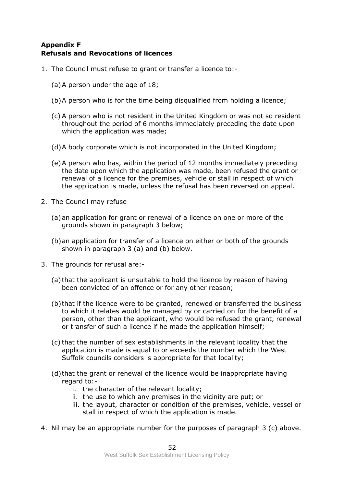# **Appendix F Refusals and Revocations of licences**

- 1. The Council must refuse to grant or transfer a licence to:-
	- (a)A person under the age of 18;
	- (b)A person who is for the time being disqualified from holding a licence;
	- (c) A person who is not resident in the United Kingdom or was not so resident throughout the period of 6 months immediately preceding the date upon which the application was made;
	- (d)A body corporate which is not incorporated in the United Kingdom;
	- (e)A person who has, within the period of 12 months immediately preceding the date upon which the application was made, been refused the grant or renewal of a licence for the premises, vehicle or stall in respect of which the application is made, unless the refusal has been reversed on appeal.
- 2. The Council may refuse
	- (a)an application for grant or renewal of a licence on one or more of the grounds shown in paragraph 3 below;
	- (b)an application for transfer of a licence on either or both of the grounds shown in paragraph 3 (a) and (b) below.
- 3. The grounds for refusal are:-
	- (a) that the applicant is unsuitable to hold the licence by reason of having been convicted of an offence or for any other reason;
	- (b)that if the licence were to be granted, renewed or transferred the business to which it relates would be managed by or carried on for the benefit of a person, other than the applicant, who would be refused the grant, renewal or transfer of such a licence if he made the application himself;
	- (c) that the number of sex establishments in the relevant locality that the application is made is equal to or exceeds the number which the West Suffolk councils considers is appropriate for that locality;
	- (d)that the grant or renewal of the licence would be inappropriate having regard to:
		- i. the character of the relevant locality;
		- ii. the use to which any premises in the vicinity are put; or
		- iii. the layout, character or condition of the premises, vehicle, vessel or stall in respect of which the application is made.
- 4. Nil may be an appropriate number for the purposes of paragraph 3 (c) above.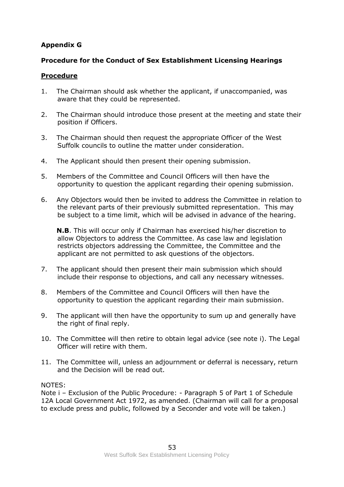# **Appendix G**

# **Procedure for the Conduct of Sex Establishment Licensing Hearings**

# **Procedure**

- 1. The Chairman should ask whether the applicant, if unaccompanied, was aware that they could be represented.
- 2. The Chairman should introduce those present at the meeting and state their position if Officers.
- 3. The Chairman should then request the appropriate Officer of the West Suffolk councils to outline the matter under consideration.
- 4. The Applicant should then present their opening submission.
- 5. Members of the Committee and Council Officers will then have the opportunity to question the applicant regarding their opening submission.
- 6. Any Objectors would then be invited to address the Committee in relation to the relevant parts of their previously submitted representation. This may be subject to a time limit, which will be advised in advance of the hearing.

**N.B**. This will occur only if Chairman has exercised his/her discretion to allow Objectors to address the Committee. As case law and legislation restricts objectors addressing the Committee, the Committee and the applicant are not permitted to ask questions of the objectors.

- 7. The applicant should then present their main submission which should include their response to objections, and call any necessary witnesses.
- 8. Members of the Committee and Council Officers will then have the opportunity to question the applicant regarding their main submission.
- 9. The applicant will then have the opportunity to sum up and generally have the right of final reply.
- 10. The Committee will then retire to obtain legal advice (see note i). The Legal Officer will retire with them.
- 11. The Committee will, unless an adjournment or deferral is necessary, return and the Decision will be read out.

#### NOTES:

Note i – Exclusion of the Public Procedure: - Paragraph 5 of Part 1 of Schedule 12A Local Government Act 1972, as amended. (Chairman will call for a proposal to exclude press and public, followed by a Seconder and vote will be taken.)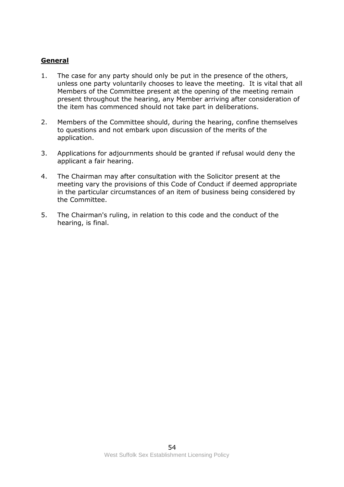# **General**

- 1. The case for any party should only be put in the presence of the others, unless one party voluntarily chooses to leave the meeting. It is vital that all Members of the Committee present at the opening of the meeting remain present throughout the hearing, any Member arriving after consideration of the item has commenced should not take part in deliberations.
- 2. Members of the Committee should, during the hearing, confine themselves to questions and not embark upon discussion of the merits of the application.
- 3. Applications for adjournments should be granted if refusal would deny the applicant a fair hearing.
- 4. The Chairman may after consultation with the Solicitor present at the meeting vary the provisions of this Code of Conduct if deemed appropriate in the particular circumstances of an item of business being considered by the Committee.
- 5. The Chairman's ruling, in relation to this code and the conduct of the hearing, is final.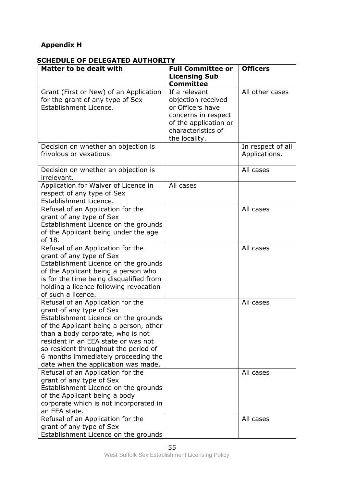# **Appendix H**

# **SCHEDULE OF DELEGATED AUTHORITY**

| <b>Matter to be dealt with</b>                                                 | <b>Full Committee or</b><br><b>Licensing Sub</b> | <b>Officers</b>   |
|--------------------------------------------------------------------------------|--------------------------------------------------|-------------------|
|                                                                                | <b>Committee</b>                                 |                   |
| Grant (First or New) of an Application                                         | If a relevant                                    | All other cases   |
| for the grant of any type of Sex                                               | objection received                               |                   |
| Establishment Licence.                                                         | or Officers have                                 |                   |
|                                                                                | concerns in respect                              |                   |
|                                                                                | of the application or                            |                   |
|                                                                                | characteristics of                               |                   |
|                                                                                | the locality.                                    |                   |
| Decision on whether an objection is                                            |                                                  | In respect of all |
| frivolous or vexatious.                                                        |                                                  | Applications.     |
| Decision on whether an objection is                                            |                                                  | All cases         |
| irrelevant.                                                                    |                                                  |                   |
| Application for Waiver of Licence in                                           | All cases                                        |                   |
| respect of any type of Sex                                                     |                                                  |                   |
| Establishment Licence.                                                         |                                                  |                   |
| Refusal of an Application for the                                              |                                                  | All cases         |
| grant of any type of Sex                                                       |                                                  |                   |
| Establishment Licence on the grounds                                           |                                                  |                   |
| of the Applicant being under the age                                           |                                                  |                   |
| of 18.                                                                         |                                                  |                   |
| Refusal of an Application for the                                              |                                                  | All cases         |
| grant of any type of Sex                                                       |                                                  |                   |
| Establishment Licence on the grounds                                           |                                                  |                   |
| of the Applicant being a person who<br>is for the time being disqualified from |                                                  |                   |
| holding a licence following revocation                                         |                                                  |                   |
| of such a licence.                                                             |                                                  |                   |
| Refusal of an Application for the                                              |                                                  | All cases         |
| grant of any type of Sex                                                       |                                                  |                   |
| Establishment Licence on the grounds                                           |                                                  |                   |
| of the Applicant being a person, other                                         |                                                  |                   |
| than a body corporate, who is not                                              |                                                  |                   |
| resident in an EEA state or was not                                            |                                                  |                   |
| so resident throughout the period of                                           |                                                  |                   |
| 6 months immediately proceeding the                                            |                                                  |                   |
| date when the application was made.<br>Refusal of an Application for the       |                                                  | All cases         |
| grant of any type of Sex                                                       |                                                  |                   |
| Establishment Licence on the grounds                                           |                                                  |                   |
| of the Applicant being a body                                                  |                                                  |                   |
| corporate which is not incorporated in                                         |                                                  |                   |
| an EEA state.                                                                  |                                                  |                   |
| Refusal of an Application for the                                              |                                                  | All cases         |
| grant of any type of Sex                                                       |                                                  |                   |
| Establishment Licence on the grounds                                           |                                                  |                   |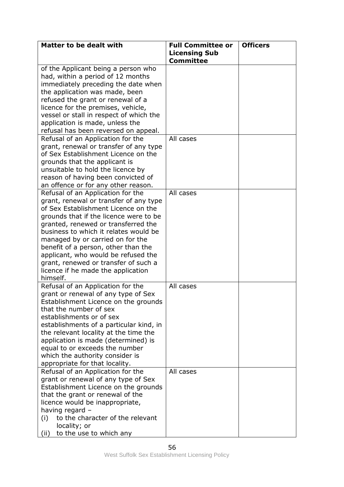| Matter to be dealt with                                                     | <b>Full Committee or</b>                 | <b>Officers</b> |
|-----------------------------------------------------------------------------|------------------------------------------|-----------------|
|                                                                             | <b>Licensing Sub</b><br><b>Committee</b> |                 |
| of the Applicant being a person who                                         |                                          |                 |
| had, within a period of 12 months                                           |                                          |                 |
| immediately preceding the date when                                         |                                          |                 |
| the application was made, been                                              |                                          |                 |
| refused the grant or renewal of a                                           |                                          |                 |
| licence for the premises, vehicle,                                          |                                          |                 |
| vessel or stall in respect of which the                                     |                                          |                 |
| application is made, unless the                                             |                                          |                 |
| refusal has been reversed on appeal.                                        |                                          |                 |
| Refusal of an Application for the                                           | All cases                                |                 |
| grant, renewal or transfer of any type                                      |                                          |                 |
| of Sex Establishment Licence on the                                         |                                          |                 |
| grounds that the applicant is<br>unsuitable to hold the licence by          |                                          |                 |
| reason of having been convicted of                                          |                                          |                 |
| an offence or for any other reason.                                         |                                          |                 |
| Refusal of an Application for the                                           | All cases                                |                 |
| grant, renewal or transfer of any type                                      |                                          |                 |
| of Sex Establishment Licence on the                                         |                                          |                 |
| grounds that if the licence were to be                                      |                                          |                 |
| granted, renewed or transferred the                                         |                                          |                 |
| business to which it relates would be                                       |                                          |                 |
| managed by or carried on for the                                            |                                          |                 |
| benefit of a person, other than the                                         |                                          |                 |
| applicant, who would be refused the                                         |                                          |                 |
| grant, renewed or transfer of such a                                        |                                          |                 |
| licence if he made the application                                          |                                          |                 |
| himself.                                                                    |                                          |                 |
| Refusal of an Application for the                                           | All cases                                |                 |
| grant or renewal of any type of Sex<br>Establishment Licence on the grounds |                                          |                 |
| that the number of sex                                                      |                                          |                 |
| establishments or of sex                                                    |                                          |                 |
| establishments of a particular kind, in                                     |                                          |                 |
| the relevant locality at the time the                                       |                                          |                 |
| application is made (determined) is                                         |                                          |                 |
| equal to or exceeds the number                                              |                                          |                 |
| which the authority consider is                                             |                                          |                 |
| appropriate for that locality.                                              |                                          |                 |
| Refusal of an Application for the                                           | All cases                                |                 |
| grant or renewal of any type of Sex                                         |                                          |                 |
| Establishment Licence on the grounds                                        |                                          |                 |
| that the grant or renewal of the                                            |                                          |                 |
| licence would be inappropriate,                                             |                                          |                 |
| having regard -<br>to the character of the relevant                         |                                          |                 |
| (i)<br>locality; or                                                         |                                          |                 |
| to the use to which any<br>(iii)                                            |                                          |                 |